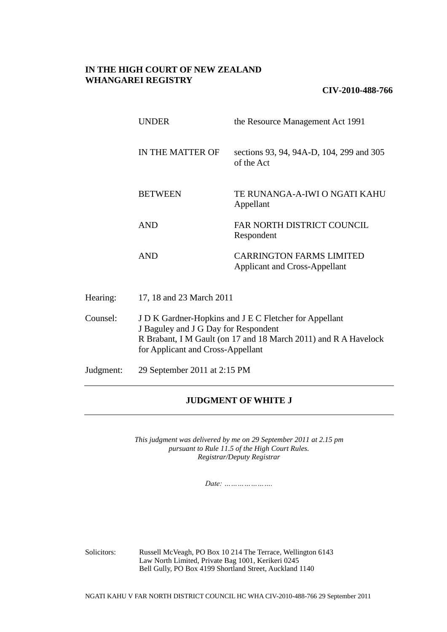# **IN THE HIGH COURT OF NEW ZEALAND WHANGAREI REGISTRY**

# **CIV-2010-488-766**

|          | <b>UNDER</b>                                                                                                                                                      | the Resource Management Act 1991                                        |
|----------|-------------------------------------------------------------------------------------------------------------------------------------------------------------------|-------------------------------------------------------------------------|
|          | IN THE MATTER OF                                                                                                                                                  | sections 93, 94, 94A-D, 104, 299 and 305<br>of the Act                  |
|          | <b>BETWEEN</b>                                                                                                                                                    | TE RUNANGA-A-IWI O NGATI KAHU<br>Appellant                              |
|          | <b>AND</b>                                                                                                                                                        | FAR NORTH DISTRICT COUNCIL<br>Respondent                                |
|          | <b>AND</b>                                                                                                                                                        | <b>CARRINGTON FARMS LIMITED</b><br><b>Applicant and Cross-Appellant</b> |
| Hearing: | 17, 18 and 23 March 2011                                                                                                                                          |                                                                         |
| Counsel: | J D K Gardner-Hopkins and J E C Fletcher for Appellant<br>J Baguley and J G Day for Respondent<br>R Brabant, I M Gault (on 17 and 18 March 2011) and R A Havelock |                                                                         |

Judgment: 29 September 2011 at 2:15 PM

for Applicant and Cross-Appellant

# **JUDGMENT OF WHITE J**

*This judgment was delivered by me on 29 September 2011 at 2.15 pm pursuant to Rule 11.5 of the High Court Rules. Registrar/Deputy Registrar*

*Date: ………………….*

Solicitors: Russell McVeagh, PO Box 10 214 The Terrace, Wellington 6143 Law North Limited, Private Bag 1001, Kerikeri 0245 Bell Gully, PO Box 4199 Shortland Street, Auckland 1140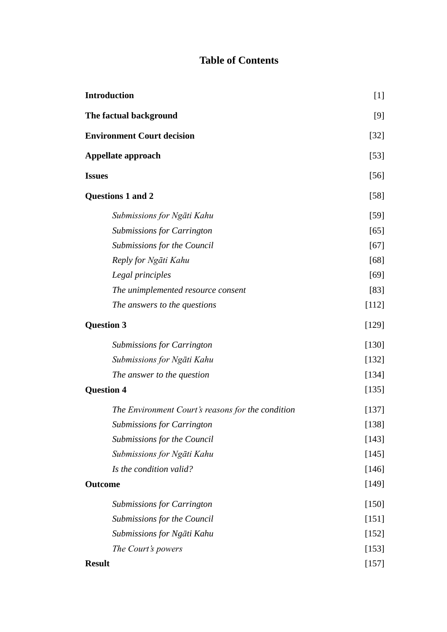# **Table of Contents**

| <b>Introduction</b>                               | $[1]$<br>[9]<br>$[32]$<br>$[53]$ |
|---------------------------------------------------|----------------------------------|
| The factual background                            |                                  |
| <b>Environment Court decision</b>                 |                                  |
| Appellate approach                                |                                  |
| <b>Issues</b>                                     | $[56]$                           |
| Questions 1 and 2                                 | $[58]$                           |
| Submissions for Ngāti Kahu                        | $[59]$                           |
| <b>Submissions for Carrington</b>                 | [65]                             |
| Submissions for the Council                       | $[67]$                           |
| Reply for Ngāti Kahu                              | $[68]$                           |
| Legal principles                                  | $[69]$                           |
| The unimplemented resource consent                | [83]                             |
| The answers to the questions                      | $[112]$                          |
| <b>Question 3</b>                                 | $[129]$                          |
| <b>Submissions for Carrington</b>                 | $[130]$                          |
| Submissions for Ngāti Kahu                        | [132]                            |
| The answer to the question                        | $[134]$                          |
| <b>Question 4</b>                                 | $[135]$                          |
| The Environment Court's reasons for the condition | [137]                            |
| <b>Submissions for Carrington</b>                 | $[138]$                          |
| Submissions for the Council                       | [143]                            |
| Submissions for Ngāti Kahu                        | $[145]$                          |
| Is the condition valid?                           | [146]                            |
| <b>Outcome</b>                                    | [149]                            |
| <b>Submissions for Carrington</b>                 | $[150]$                          |
| Submissions for the Council                       | [151]                            |
| Submissions for Ngāti Kahu                        | $[152]$                          |
| The Court's powers                                | [153]                            |
| <b>Result</b>                                     | $[157]$                          |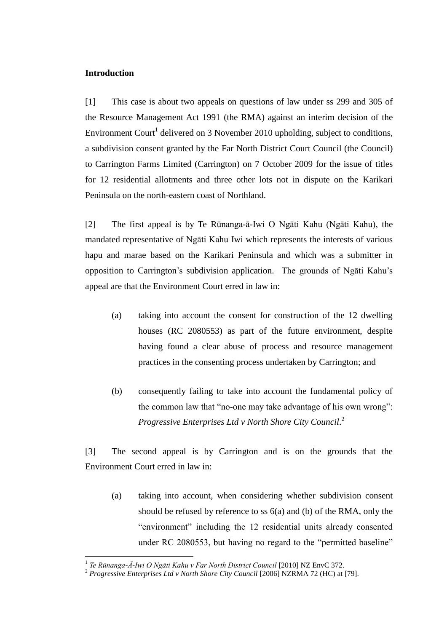# **Introduction**

 $\overline{a}$ 

[1] This case is about two appeals on questions of law under ss 299 and 305 of the Resource Management Act 1991 (the RMA) against an interim decision of the Environment Court<sup>1</sup> delivered on 3 November 2010 upholding, subject to conditions, a subdivision consent granted by the Far North District Court Council (the Council) to Carrington Farms Limited (Carrington) on 7 October 2009 for the issue of titles for 12 residential allotments and three other lots not in dispute on the Karikari Peninsula on the north-eastern coast of Northland.

[2] The first appeal is by Te Rūnanga-ā-Iwi O Ngāti Kahu (Ngāti Kahu), the mandated representative of Ngāti Kahu Iwi which represents the interests of various hapu and marae based on the Karikari Peninsula and which was a submitter in opposition to Carrington's subdivision application. The grounds of Ngāti Kahu's appeal are that the Environment Court erred in law in:

- (a) taking into account the consent for construction of the 12 dwelling houses (RC 2080553) as part of the future environment, despite having found a clear abuse of process and resource management practices in the consenting process undertaken by Carrington; and
- (b) consequently failing to take into account the fundamental policy of the common law that "no-one may take advantage of his own wrong": *Progressive Enterprises Ltd v North Shore City Council*. 2

[3] The second appeal is by Carrington and is on the grounds that the Environment Court erred in law in:

(a) taking into account, when considering whether subdivision consent should be refused by reference to ss 6(a) and (b) of the RMA, only the "environment" including the 12 residential units already consented under RC 2080553, but having no regard to the "permitted baseline"

<sup>1</sup> *Te Rūnanga-Ā-Iwi O Ngāti Kahu v Far North District Council* [2010] NZ EnvC 372.

<sup>&</sup>lt;sup>2</sup> Progressive Enterprises Ltd v North Shore City Council [2006] NZRMA 72 (HC) at [79].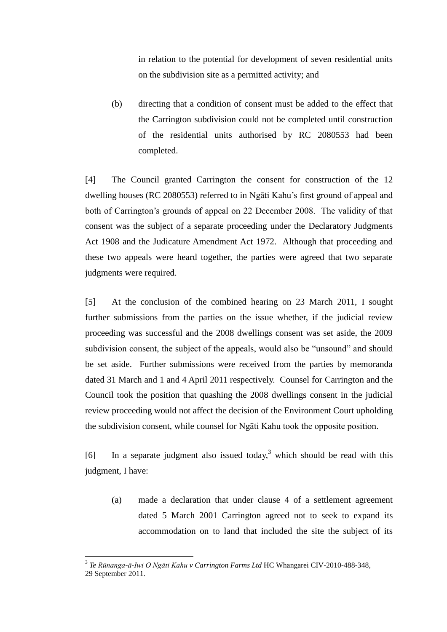in relation to the potential for development of seven residential units on the subdivision site as a permitted activity; and

(b) directing that a condition of consent must be added to the effect that the Carrington subdivision could not be completed until construction of the residential units authorised by RC 2080553 had been completed.

[4] The Council granted Carrington the consent for construction of the 12 dwelling houses (RC 2080553) referred to in Ngāti Kahu's first ground of appeal and both of Carrington's grounds of appeal on 22 December 2008. The validity of that consent was the subject of a separate proceeding under the Declaratory Judgments Act 1908 and the Judicature Amendment Act 1972. Although that proceeding and these two appeals were heard together, the parties were agreed that two separate judgments were required.

[5] At the conclusion of the combined hearing on 23 March 2011, I sought further submissions from the parties on the issue whether, if the judicial review proceeding was successful and the 2008 dwellings consent was set aside, the 2009 subdivision consent, the subject of the appeals, would also be "unsound" and should be set aside. Further submissions were received from the parties by memoranda dated 31 March and 1 and 4 April 2011 respectively. Counsel for Carrington and the Council took the position that quashing the 2008 dwellings consent in the judicial review proceeding would not affect the decision of the Environment Court upholding the subdivision consent, while counsel for Ngāti Kahu took the opposite position.

[6] In a separate judgment also issued today,<sup>3</sup> which should be read with this judgment, I have:

(a) made a declaration that under clause 4 of a settlement agreement dated 5 March 2001 Carrington agreed not to seek to expand its accommodation on to land that included the site the subject of its

<sup>3</sup> *Te Rūnanga-ā-Iwi O Ngāti Kahu v Carrington Farms Ltd* HC Whangarei CIV-2010-488-348, 29 September 2011.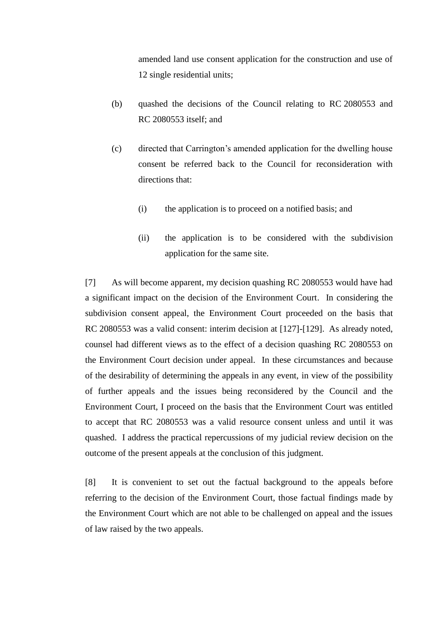amended land use consent application for the construction and use of 12 single residential units;

- (b) quashed the decisions of the Council relating to RC 2080553 and RC 2080553 itself; and
- (c) directed that Carrington's amended application for the dwelling house consent be referred back to the Council for reconsideration with directions that:
	- (i) the application is to proceed on a notified basis; and
	- (ii) the application is to be considered with the subdivision application for the same site.

[7] As will become apparent, my decision quashing RC 2080553 would have had a significant impact on the decision of the Environment Court. In considering the subdivision consent appeal, the Environment Court proceeded on the basis that RC 2080553 was a valid consent: interim decision at [127]-[129]. As already noted, counsel had different views as to the effect of a decision quashing RC 2080553 on the Environment Court decision under appeal. In these circumstances and because of the desirability of determining the appeals in any event, in view of the possibility of further appeals and the issues being reconsidered by the Council and the Environment Court, I proceed on the basis that the Environment Court was entitled to accept that RC 2080553 was a valid resource consent unless and until it was quashed. I address the practical repercussions of my judicial review decision on the outcome of the present appeals at the conclusion of this judgment.

[8] It is convenient to set out the factual background to the appeals before referring to the decision of the Environment Court, those factual findings made by the Environment Court which are not able to be challenged on appeal and the issues of law raised by the two appeals.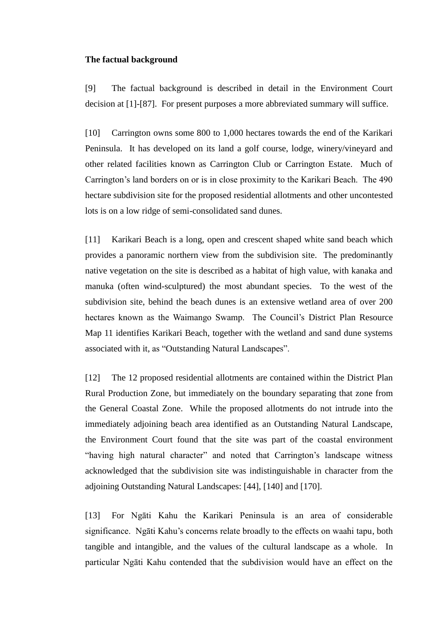### **The factual background**

[9] The factual background is described in detail in the Environment Court decision at [1]-[87]. For present purposes a more abbreviated summary will suffice.

[10] Carrington owns some 800 to 1,000 hectares towards the end of the Karikari Peninsula. It has developed on its land a golf course, lodge, winery/vineyard and other related facilities known as Carrington Club or Carrington Estate. Much of Carrington's land borders on or is in close proximity to the Karikari Beach. The 490 hectare subdivision site for the proposed residential allotments and other uncontested lots is on a low ridge of semi-consolidated sand dunes.

[11] Karikari Beach is a long, open and crescent shaped white sand beach which provides a panoramic northern view from the subdivision site. The predominantly native vegetation on the site is described as a habitat of high value, with kanaka and manuka (often wind-sculptured) the most abundant species. To the west of the subdivision site, behind the beach dunes is an extensive wetland area of over 200 hectares known as the Waimango Swamp. The Council's District Plan Resource Map 11 identifies Karikari Beach, together with the wetland and sand dune systems associated with it, as "Outstanding Natural Landscapes".

[12] The 12 proposed residential allotments are contained within the District Plan Rural Production Zone, but immediately on the boundary separating that zone from the General Coastal Zone. While the proposed allotments do not intrude into the immediately adjoining beach area identified as an Outstanding Natural Landscape, the Environment Court found that the site was part of the coastal environment "having high natural character" and noted that Carrington's landscape witness acknowledged that the subdivision site was indistinguishable in character from the adjoining Outstanding Natural Landscapes: [44], [140] and [170].

[13] For Ngāti Kahu the Karikari Peninsula is an area of considerable significance. Ngāti Kahu's concerns relate broadly to the effects on waahi tapu, both tangible and intangible, and the values of the cultural landscape as a whole. In particular Ngāti Kahu contended that the subdivision would have an effect on the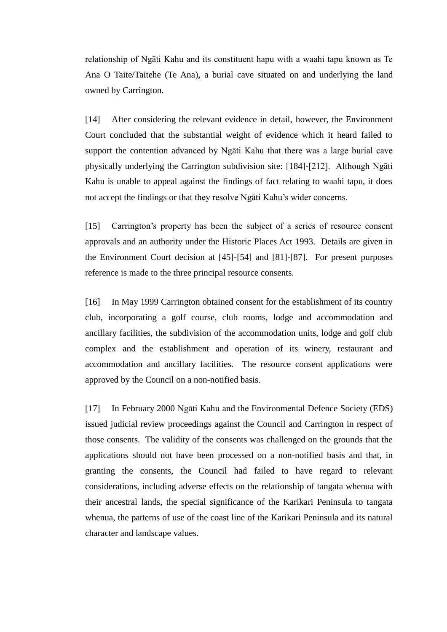relationship of Ngāti Kahu and its constituent hapu with a waahi tapu known as Te Ana O Taite/Taitehe (Te Ana), a burial cave situated on and underlying the land owned by Carrington.

[14] After considering the relevant evidence in detail, however, the Environment Court concluded that the substantial weight of evidence which it heard failed to support the contention advanced by Ngāti Kahu that there was a large burial cave physically underlying the Carrington subdivision site: [184]-[212]. Although Ngāti Kahu is unable to appeal against the findings of fact relating to waahi tapu, it does not accept the findings or that they resolve Ngāti Kahu's wider concerns.

[15] Carrington's property has been the subject of a series of resource consent approvals and an authority under the Historic Places Act 1993. Details are given in the Environment Court decision at [45]-[54] and [81]-[87]. For present purposes reference is made to the three principal resource consents.

[16] In May 1999 Carrington obtained consent for the establishment of its country club, incorporating a golf course, club rooms, lodge and accommodation and ancillary facilities, the subdivision of the accommodation units, lodge and golf club complex and the establishment and operation of its winery, restaurant and accommodation and ancillary facilities. The resource consent applications were approved by the Council on a non-notified basis.

[17] In February 2000 Ngāti Kahu and the Environmental Defence Society (EDS) issued judicial review proceedings against the Council and Carrington in respect of those consents. The validity of the consents was challenged on the grounds that the applications should not have been processed on a non-notified basis and that, in granting the consents, the Council had failed to have regard to relevant considerations, including adverse effects on the relationship of tangata whenua with their ancestral lands, the special significance of the Karikari Peninsula to tangata whenua, the patterns of use of the coast line of the Karikari Peninsula and its natural character and landscape values.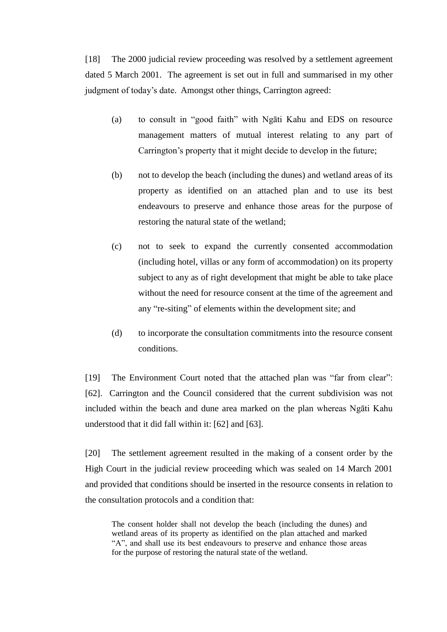[18] The 2000 judicial review proceeding was resolved by a settlement agreement dated 5 March 2001. The agreement is set out in full and summarised in my other judgment of today's date. Amongst other things, Carrington agreed:

- (a) to consult in "good faith" with Ngati Kahu and EDS on resource management matters of mutual interest relating to any part of Carrington's property that it might decide to develop in the future;
- (b) not to develop the beach (including the dunes) and wetland areas of its property as identified on an attached plan and to use its best endeavours to preserve and enhance those areas for the purpose of restoring the natural state of the wetland;
- (c) not to seek to expand the currently consented accommodation (including hotel, villas or any form of accommodation) on its property subject to any as of right development that might be able to take place without the need for resource consent at the time of the agreement and any "re-siting" of elements within the development site; and
- (d) to incorporate the consultation commitments into the resource consent conditions.

[19] The Environment Court noted that the attached plan was "far from clear": [62]. Carrington and the Council considered that the current subdivision was not included within the beach and dune area marked on the plan whereas Ngāti Kahu understood that it did fall within it: [62] and [63].

[20] The settlement agreement resulted in the making of a consent order by the High Court in the judicial review proceeding which was sealed on 14 March 2001 and provided that conditions should be inserted in the resource consents in relation to the consultation protocols and a condition that:

The consent holder shall not develop the beach (including the dunes) and wetland areas of its property as identified on the plan attached and marked "A", and shall use its best endeavours to preserve and enhance those areas for the purpose of restoring the natural state of the wetland.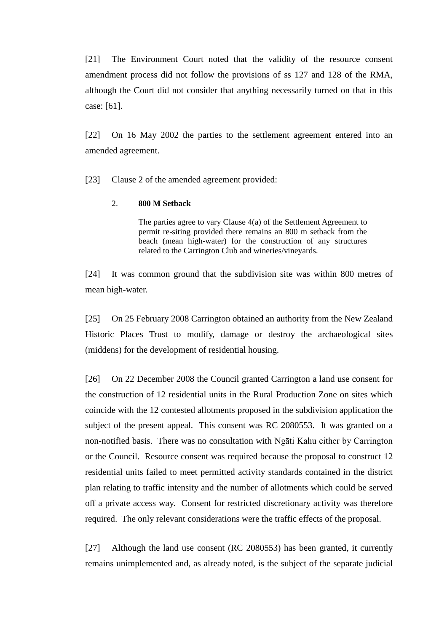[21] The Environment Court noted that the validity of the resource consent amendment process did not follow the provisions of ss 127 and 128 of the RMA, although the Court did not consider that anything necessarily turned on that in this case: [61].

[22] On 16 May 2002 the parties to the settlement agreement entered into an amended agreement.

[23] Clause 2 of the amended agreement provided:

### 2. **800 M Setback**

The parties agree to vary Clause 4(a) of the Settlement Agreement to permit re-siting provided there remains an 800 m setback from the beach (mean high-water) for the construction of any structures related to the Carrington Club and wineries/vineyards.

[24] It was common ground that the subdivision site was within 800 metres of mean high-water.

[25] On 25 February 2008 Carrington obtained an authority from the New Zealand Historic Places Trust to modify, damage or destroy the archaeological sites (middens) for the development of residential housing.

[26] On 22 December 2008 the Council granted Carrington a land use consent for the construction of 12 residential units in the Rural Production Zone on sites which coincide with the 12 contested allotments proposed in the subdivision application the subject of the present appeal. This consent was RC 2080553. It was granted on a non-notified basis. There was no consultation with Ngāti Kahu either by Carrington or the Council. Resource consent was required because the proposal to construct 12 residential units failed to meet permitted activity standards contained in the district plan relating to traffic intensity and the number of allotments which could be served off a private access way. Consent for restricted discretionary activity was therefore required. The only relevant considerations were the traffic effects of the proposal.

[27] Although the land use consent (RC 2080553) has been granted, it currently remains unimplemented and, as already noted, is the subject of the separate judicial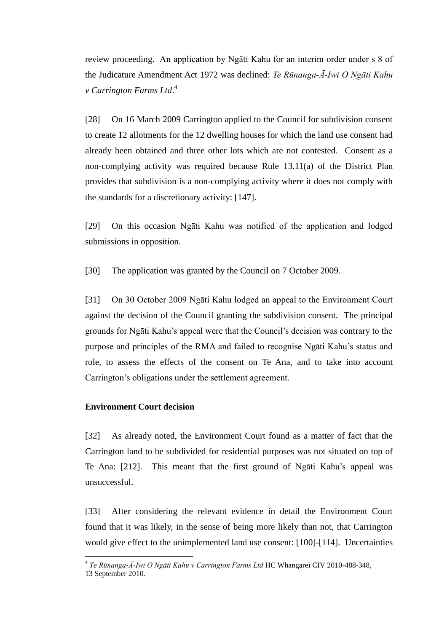review proceeding. An application by Ngāti Kahu for an interim order under s 8 of the Judicature Amendment Act 1972 was declined: *Te Rūnanga-Ā-Iwi O Ngāti Kahu v Carrington Farms Ltd*. 4

[28] On 16 March 2009 Carrington applied to the Council for subdivision consent to create 12 allotments for the 12 dwelling houses for which the land use consent had already been obtained and three other lots which are not contested. Consent as a non-complying activity was required because Rule 13.11(a) of the District Plan provides that subdivision is a non-complying activity where it does not comply with the standards for a discretionary activity: [147].

[29] On this occasion Ngāti Kahu was notified of the application and lodged submissions in opposition.

[30] The application was granted by the Council on 7 October 2009.

[31] On 30 October 2009 Ngāti Kahu lodged an appeal to the Environment Court against the decision of the Council granting the subdivision consent. The principal grounds for Ngāti Kahu's appeal were that the Council's decision was contrary to the purpose and principles of the RMA and failed to recognise Ngāti Kahu's status and role, to assess the effects of the consent on Te Ana, and to take into account Carrington's obligations under the settlement agreement.

# **Environment Court decision**

[32] As already noted, the Environment Court found as a matter of fact that the Carrington land to be subdivided for residential purposes was not situated on top of Te Ana: [212]. This meant that the first ground of Ngāti Kahu's appeal was unsuccessful.

[33] After considering the relevant evidence in detail the Environment Court found that it was likely, in the sense of being more likely than not, that Carrington would give effect to the unimplemented land use consent: [100]-[114]. Uncertainties

<sup>4</sup> *Te Rūnanga-Ā-Iwi O Ngāti Kahu v Carrington Farms Ltd* HC Whangarei CIV 2010-488-348,

<sup>13</sup> September 2010.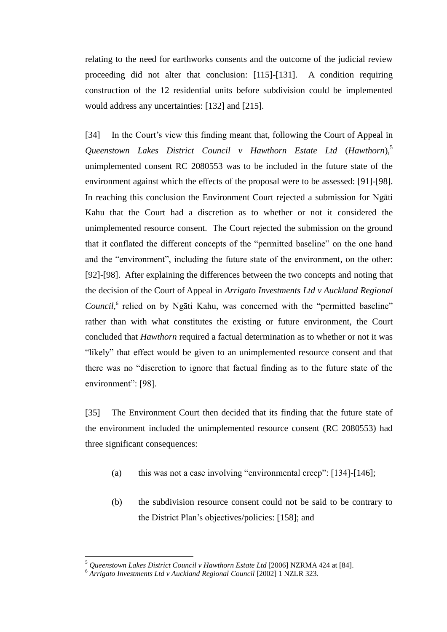relating to the need for earthworks consents and the outcome of the judicial review proceeding did not alter that conclusion: [115]-[131]. A condition requiring construction of the 12 residential units before subdivision could be implemented would address any uncertainties: [132] and [215].

[34] In the Court's view this finding meant that, following the Court of Appeal in *Queenstown Lakes District Council v Hawthorn Estate Ltd* (*Hawthorn*),<sup>5</sup> unimplemented consent RC 2080553 was to be included in the future state of the environment against which the effects of the proposal were to be assessed: [91]-[98]. In reaching this conclusion the Environment Court rejected a submission for Ngāti Kahu that the Court had a discretion as to whether or not it considered the unimplemented resource consent. The Court rejected the submission on the ground that it conflated the different concepts of the "permitted baseline" on the one hand and the "environment", including the future state of the environment, on the other: [92]-[98]. After explaining the differences between the two concepts and noting that the decision of the Court of Appeal in *Arrigato Investments Ltd v Auckland Regional*  Council,<sup>6</sup> relied on by Ngāti Kahu, was concerned with the "permitted baseline" rather than with what constitutes the existing or future environment, the Court concluded that *Hawthorn* required a factual determination as to whether or not it was "likely" that effect would be given to an unimplemented resource consent and that there was no "discretion to ignore that factual finding as to the future state of the environment": [98].

[35] The Environment Court then decided that its finding that the future state of the environment included the unimplemented resource consent (RC 2080553) had three significant consequences:

- (a) this was not a case involving "environmental creep":  $[134]$ - $[146]$ ;
- (b) the subdivision resource consent could not be said to be contrary to the District Plan's objectives/policies: [158]; and

<sup>5</sup> *Queenstown Lakes District Council v Hawthorn Estate Ltd* [2006] NZRMA 424 at [84].

<sup>6</sup> *Arrigato Investments Ltd v Auckland Regional Council* [2002] 1 NZLR 323.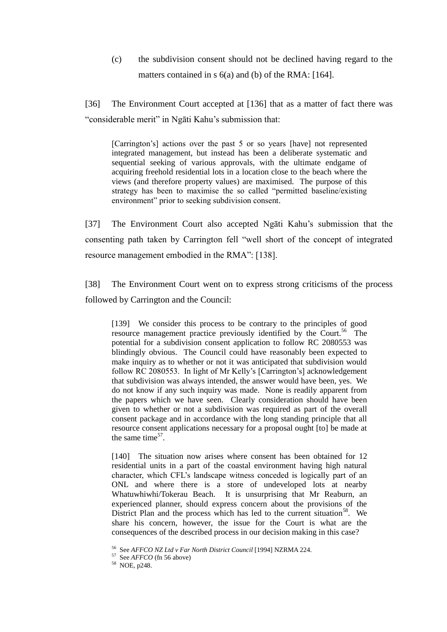(c) the subdivision consent should not be declined having regard to the matters contained in s 6(a) and (b) of the RMA: [164].

[36] The Environment Court accepted at [136] that as a matter of fact there was "
considerable merit" in Ngāti Kahu's submission that:

[Carrington's] actions over the past 5 or so years [have] not represented integrated management, but instead has been a deliberate systematic and sequential seeking of various approvals, with the ultimate endgame of acquiring freehold residential lots in a location close to the beach where the views (and therefore property values) are maximised. The purpose of this strategy has been to maximise the so called "permitted baseline/existing environment" prior to seeking subdivision consent.

[37] The Environment Court also accepted Ngāti Kahu's submission that the consenting path taken by Carrington fell "well short of the concept of integrated resource management embodied in the RMA": [138].

[38] The Environment Court went on to express strong criticisms of the process followed by Carrington and the Council:

[139] We consider this process to be contrary to the principles of good resource management practice previously identified by the Court.<sup>56</sup> The potential for a subdivision consent application to follow RC 2080553 was blindingly obvious. The Council could have reasonably been expected to make inquiry as to whether or not it was anticipated that subdivision would follow RC 2080553. In light of Mr Kelly's [Carrington's] acknowledgement that subdivision was always intended, the answer would have been, yes. We do not know if any such inquiry was made. None is readily apparent from the papers which we have seen. Clearly consideration should have been given to whether or not a subdivision was required as part of the overall consent package and in accordance with the long standing principle that all resource consent applications necessary for a proposal ought [to] be made at the same time $57$ .

[140] The situation now arises where consent has been obtained for 12 residential units in a part of the coastal environment having high natural character, which CFL's landscape witness conceded is logically part of an ONL and where there is a store of undeveloped lots at nearby Whatuwhiwhi/Tokerau Beach. It is unsurprising that Mr Reaburn, an experienced planner, should express concern about the provisions of the District Plan and the process which has led to the current situation<sup>58</sup>. We share his concern, however, the issue for the Court is what are the consequences of the described process in our decision making in this case?

<sup>56</sup> See *AFFCO NZ Ltd v Far North District Council* [1994] NZRMA 224.

<sup>&</sup>lt;sup>57</sup> See *AFFCO* (fn 56 above)<br><sup>58</sup> NOE, p248.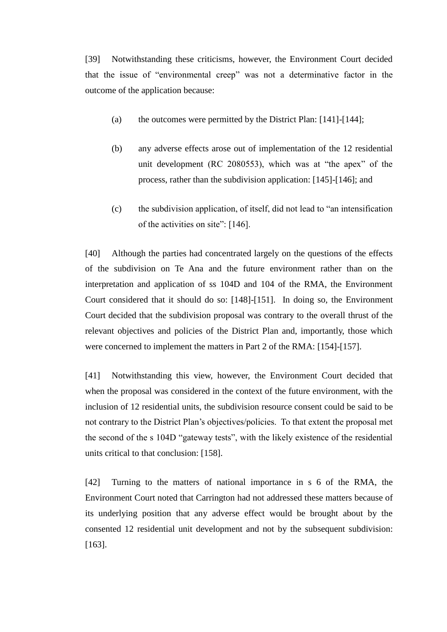[39] Notwithstanding these criticisms, however, the Environment Court decided that the issue of "environmental creep" was not a determinative factor in the outcome of the application because:

- (a) the outcomes were permitted by the District Plan: [141]-[144];
- (b) any adverse effects arose out of implementation of the 12 residential unit development (RC 2080553), which was at "the apex" of the process, rather than the subdivision application: [145]-[146]; and
- $(c)$  the subdivision application, of itself, did not lead to "an intensification" of the activities on site":  $[146]$ .

[40] Although the parties had concentrated largely on the questions of the effects of the subdivision on Te Ana and the future environment rather than on the interpretation and application of ss 104D and 104 of the RMA, the Environment Court considered that it should do so: [148]-[151]. In doing so, the Environment Court decided that the subdivision proposal was contrary to the overall thrust of the relevant objectives and policies of the District Plan and, importantly, those which were concerned to implement the matters in Part 2 of the RMA: [154]-[157].

[41] Notwithstanding this view, however, the Environment Court decided that when the proposal was considered in the context of the future environment, with the inclusion of 12 residential units, the subdivision resource consent could be said to be not contrary to the District Plan's objectives/policies. To that extent the proposal met the second of the s 104D "gateway tests", with the likely existence of the residential units critical to that conclusion: [158].

[42] Turning to the matters of national importance in s 6 of the RMA, the Environment Court noted that Carrington had not addressed these matters because of its underlying position that any adverse effect would be brought about by the consented 12 residential unit development and not by the subsequent subdivision: [163].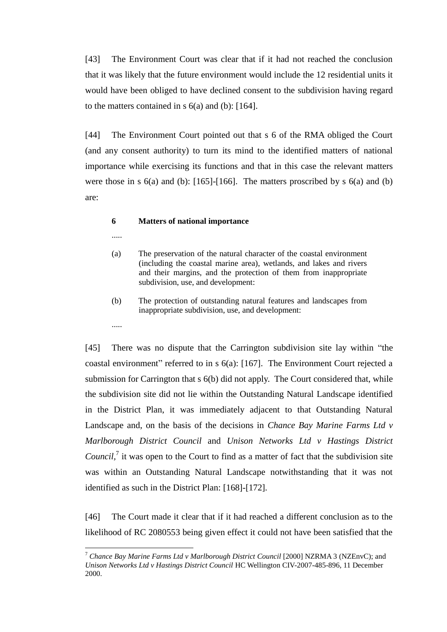[43] The Environment Court was clear that if it had not reached the conclusion that it was likely that the future environment would include the 12 residential units it would have been obliged to have declined consent to the subdivision having regard to the matters contained in  $s$  6(a) and (b): [164].

[44] The Environment Court pointed out that s 6 of the RMA obliged the Court (and any consent authority) to turn its mind to the identified matters of national importance while exercising its functions and that in this case the relevant matters were those in s  $6(a)$  and (b): [165]-[166]. The matters proscribed by s  $6(a)$  and (b) are:

### **6 Matters of national importance**

- .....
- (a) The preservation of the natural character of the coastal environment (including the coastal marine area), wetlands, and lakes and rivers and their margins, and the protection of them from inappropriate subdivision, use, and development:
- (b) The protection of outstanding natural features and landscapes from inappropriate subdivision, use, and development:
- .....

 $\overline{a}$ 

[45] There was no dispute that the Carrington subdivision site lay within "the coastal environment" referred to in  $s$  6(a): [167]. The Environment Court rejected a submission for Carrington that s 6(b) did not apply. The Court considered that, while the subdivision site did not lie within the Outstanding Natural Landscape identified in the District Plan, it was immediately adjacent to that Outstanding Natural Landscape and, on the basis of the decisions in *Chance Bay Marine Farms Ltd v Marlborough District Council* and *Unison Networks Ltd v Hastings District*  Council,<sup>7</sup> it was open to the Court to find as a matter of fact that the subdivision site was within an Outstanding Natural Landscape notwithstanding that it was not identified as such in the District Plan: [168]-[172].

[46] The Court made it clear that if it had reached a different conclusion as to the likelihood of RC 2080553 being given effect it could not have been satisfied that the

<sup>&</sup>lt;sup>7</sup> Chance Bay Marine Farms Ltd v Marlborough District Council [2000] NZRMA 3 (NZEnvC); and *Unison Networks Ltd v Hastings District Council* HC Wellington CIV-2007-485-896, 11 December 2000.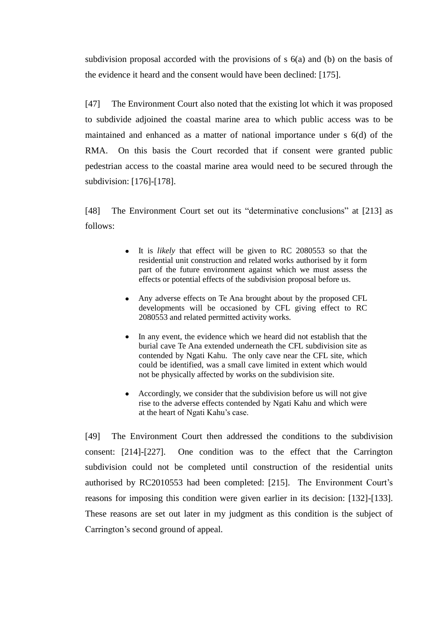subdivision proposal accorded with the provisions of s 6(a) and (b) on the basis of the evidence it heard and the consent would have been declined: [175].

[47] The Environment Court also noted that the existing lot which it was proposed to subdivide adjoined the coastal marine area to which public access was to be maintained and enhanced as a matter of national importance under s 6(d) of the RMA. On this basis the Court recorded that if consent were granted public pedestrian access to the coastal marine area would need to be secured through the subdivision: [176]-[178].

[48] The Environment Court set out its "determinative conclusions" at [213] as follows:

- It is *likely* that effect will be given to RC 2080553 so that the residential unit construction and related works authorised by it form part of the future environment against which we must assess the effects or potential effects of the subdivision proposal before us.
- Any adverse effects on Te Ana brought about by the proposed CFL developments will be occasioned by CFL giving effect to RC 2080553 and related permitted activity works.
- In any event, the evidence which we heard did not establish that the burial cave Te Ana extended underneath the CFL subdivision site as contended by Ngati Kahu. The only cave near the CFL site, which could be identified, was a small cave limited in extent which would not be physically affected by works on the subdivision site.
- Accordingly, we consider that the subdivision before us will not give rise to the adverse effects contended by Ngati Kahu and which were at the heart of Ngati Kahu's case.

[49] The Environment Court then addressed the conditions to the subdivision consent: [214]-[227]. One condition was to the effect that the Carrington subdivision could not be completed until construction of the residential units authorised by RC2010553 had been completed: [215]. The Environment Court's reasons for imposing this condition were given earlier in its decision: [132]-[133]. These reasons are set out later in my judgment as this condition is the subject of Carrington's second ground of appeal.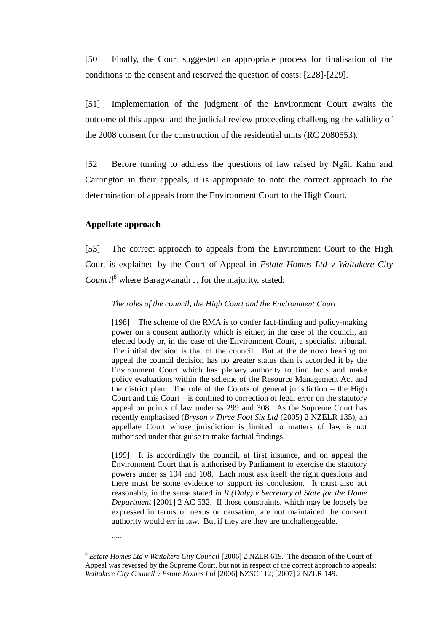[50] Finally, the Court suggested an appropriate process for finalisation of the conditions to the consent and reserved the question of costs: [228]-[229].

[51] Implementation of the judgment of the Environment Court awaits the outcome of this appeal and the judicial review proceeding challenging the validity of the 2008 consent for the construction of the residential units (RC 2080553).

[52] Before turning to address the questions of law raised by Ngāti Kahu and Carrington in their appeals, it is appropriate to note the correct approach to the determination of appeals from the Environment Court to the High Court.

### **Appellate approach**

[53] The correct approach to appeals from the Environment Court to the High Court is explained by the Court of Appeal in *Estate Homes Ltd v Waitakere City Council*<sup>8</sup> where Baragwanath J, for the majority, stated:

### *The roles of the council, the High Court and the Environment Court*

[198] The scheme of the RMA is to confer fact-finding and policy-making power on a consent authority which is either, in the case of the council, an elected body or, in the case of the Environment Court, a specialist tribunal. The initial decision is that of the council. But at the de novo hearing on appeal the council decision has no greater status than is accorded it by the Environment Court which has plenary authority to find facts and make policy evaluations within the scheme of the Resource Management Act and the district plan. The role of the Courts of general jurisdiction – the High Court and this Court – is confined to correction of legal error on the statutory appeal on points of law under ss 299 and 308. As the Supreme Court has recently emphasised (*Bryson v Three Foot Six Ltd* (2005) 2 NZELR 135), an appellate Court whose jurisdiction is limited to matters of law is not authorised under that guise to make factual findings.

[199] It is accordingly the council, at first instance, and on appeal the Environment Court that is authorised by Parliament to exercise the statutory powers under ss 104 and 108. Each must ask itself the right questions and there must be some evidence to support its conclusion. It must also act reasonably, in the sense stated in *R (Daly) v Secretary of State for the Home Department* [2001] 2 AC 532. If those constraints, which may be loosely be expressed in terms of nexus or causation, are not maintained the consent authority would err in law. But if they are they are unchallengeable.

<sup>.....</sup>

<sup>&</sup>lt;sup>8</sup> *Estate Homes Ltd v Waitakere City Council* [2006] 2 NZLR 619. The decision of the Court of Appeal was reversed by the Supreme Court, but not in respect of the correct approach to appeals: *Waitakere City Council v Estate Homes Ltd* [2006] NZSC 112; [2007] 2 NZLR 149.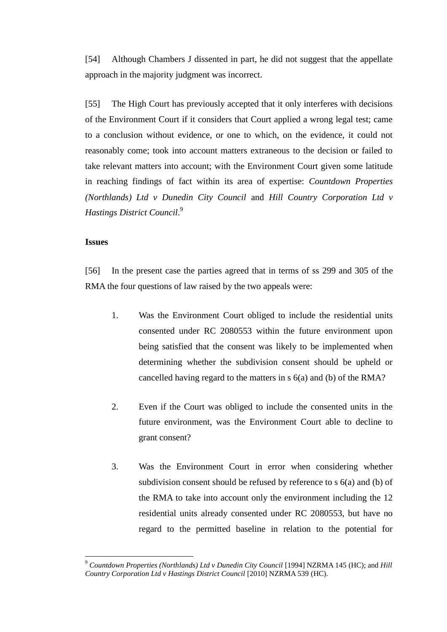[54] Although Chambers J dissented in part, he did not suggest that the appellate approach in the majority judgment was incorrect.

[55] The High Court has previously accepted that it only interferes with decisions of the Environment Court if it considers that Court applied a wrong legal test; came to a conclusion without evidence, or one to which, on the evidence, it could not reasonably come; took into account matters extraneous to the decision or failed to take relevant matters into account; with the Environment Court given some latitude in reaching findings of fact within its area of expertise: *Countdown Properties (Northlands) Ltd v Dunedin City Council* and *Hill Country Corporation Ltd v Hastings District Council*. 9

# **Issues**

 $\overline{a}$ 

[56] In the present case the parties agreed that in terms of ss 299 and 305 of the RMA the four questions of law raised by the two appeals were:

- 1. Was the Environment Court obliged to include the residential units consented under RC 2080553 within the future environment upon being satisfied that the consent was likely to be implemented when determining whether the subdivision consent should be upheld or cancelled having regard to the matters in s 6(a) and (b) of the RMA?
- 2. Even if the Court was obliged to include the consented units in the future environment, was the Environment Court able to decline to grant consent?
- 3. Was the Environment Court in error when considering whether subdivision consent should be refused by reference to s 6(a) and (b) of the RMA to take into account only the environment including the 12 residential units already consented under RC 2080553, but have no regard to the permitted baseline in relation to the potential for

<sup>9</sup> *Countdown Properties (Northlands) Ltd v Dunedin City Council* [1994] NZRMA 145 (HC); and *Hill Country Corporation Ltd v Hastings District Council* [2010] NZRMA 539 (HC).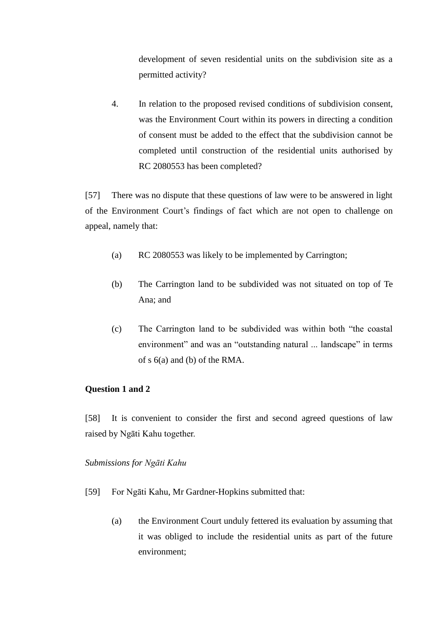development of seven residential units on the subdivision site as a permitted activity?

4. In relation to the proposed revised conditions of subdivision consent, was the Environment Court within its powers in directing a condition of consent must be added to the effect that the subdivision cannot be completed until construction of the residential units authorised by RC 2080553 has been completed?

[57] There was no dispute that these questions of law were to be answered in light of the Environment Court's findings of fact which are not open to challenge on appeal, namely that:

- (a) RC 2080553 was likely to be implemented by Carrington;
- (b) The Carrington land to be subdivided was not situated on top of Te Ana; and
- (c) The Carrington land to be subdivided was within both "the coastal" environment" and was an "outstanding natural ... landscape" in terms of s 6(a) and (b) of the RMA.

# **Question 1 and 2**

[58] It is convenient to consider the first and second agreed questions of law raised by Ngāti Kahu together.

# *Submissions for Ngāti Kahu*

- [59] For Ngāti Kahu, Mr Gardner-Hopkins submitted that:
	- (a) the Environment Court unduly fettered its evaluation by assuming that it was obliged to include the residential units as part of the future environment;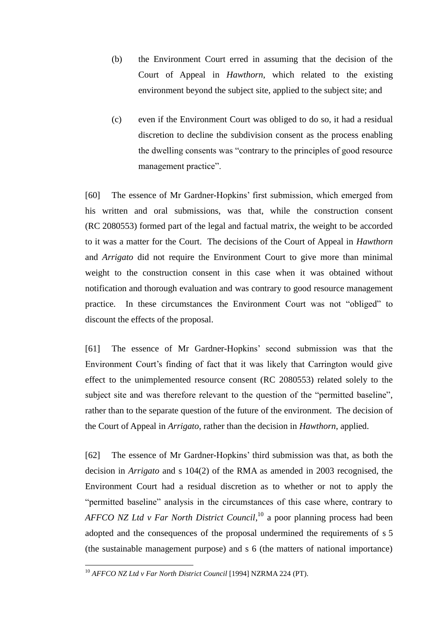- (b) the Environment Court erred in assuming that the decision of the Court of Appeal in *Hawthorn*, which related to the existing environment beyond the subject site, applied to the subject site; and
- (c) even if the Environment Court was obliged to do so, it had a residual discretion to decline the subdivision consent as the process enabling the dwelling consents was "contrary to the principles of good resource" management practice".

[60] The essence of Mr Gardner-Hopkins' first submission, which emerged from his written and oral submissions, was that, while the construction consent (RC 2080553) formed part of the legal and factual matrix, the weight to be accorded to it was a matter for the Court. The decisions of the Court of Appeal in *Hawthorn* and *Arrigato* did not require the Environment Court to give more than minimal weight to the construction consent in this case when it was obtained without notification and thorough evaluation and was contrary to good resource management practice. In these circumstances the Environment Court was not "obliged" to discount the effects of the proposal.

[61] The essence of Mr Gardner-Hopkins' second submission was that the Environment Court's finding of fact that it was likely that Carrington would give effect to the unimplemented resource consent (RC 2080553) related solely to the subject site and was therefore relevant to the question of the "permitted baseline", rather than to the separate question of the future of the environment. The decision of the Court of Appeal in *Arrigato*, rather than the decision in *Hawthorn*, applied.

[62] The essence of Mr Gardner-Hopkins' third submission was that, as both the decision in *Arrigato* and s 104(2) of the RMA as amended in 2003 recognised, the Environment Court had a residual discretion as to whether or not to apply the "permitted baseline" analysis in the circumstances of this case where, contrary to *AFFCO NZ Ltd v Far North District Council*, <sup>10</sup> a poor planning process had been adopted and the consequences of the proposal undermined the requirements of s 5 (the sustainable management purpose) and s 6 (the matters of national importance)

<sup>10</sup> *AFFCO NZ Ltd v Far North District Council* [1994] NZRMA 224 (PT).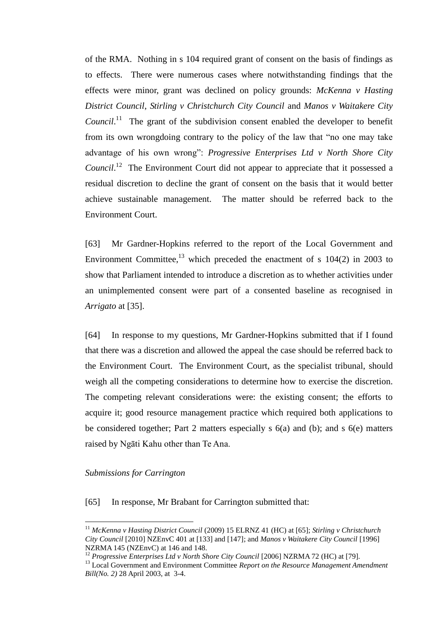of the RMA. Nothing in s 104 required grant of consent on the basis of findings as to effects. There were numerous cases where notwithstanding findings that the effects were minor, grant was declined on policy grounds: *McKenna v Hasting District Council*, *Stirling v Christchurch City Council* and *Manos v Waitakere City Council.*<sup>11</sup> The grant of the subdivision consent enabled the developer to benefit from its own wrongdoing contrary to the policy of the law that "no one may take advantage of his own wrong": *Progressive Enterprises Ltd v North Shore City* Council.<sup>12</sup> The Environment Court did not appear to appreciate that it possessed a residual discretion to decline the grant of consent on the basis that it would better achieve sustainable management. The matter should be referred back to the Environment Court.

[63] Mr Gardner-Hopkins referred to the report of the Local Government and Environment Committee, $^{13}$  which preceded the enactment of s 104(2) in 2003 to show that Parliament intended to introduce a discretion as to whether activities under an unimplemented consent were part of a consented baseline as recognised in *Arrigato* at [35].

[64] In response to my questions, Mr Gardner-Hopkins submitted that if I found that there was a discretion and allowed the appeal the case should be referred back to the Environment Court. The Environment Court, as the specialist tribunal, should weigh all the competing considerations to determine how to exercise the discretion. The competing relevant considerations were: the existing consent; the efforts to acquire it; good resource management practice which required both applications to be considered together; Part 2 matters especially s 6(a) and (b); and s 6(e) matters raised by Ngāti Kahu other than Te Ana.

# *Submissions for Carrington*

 $\overline{a}$ 

[65] In response, Mr Brabant for Carrington submitted that:

<sup>11</sup> *McKenna v Hasting District Council* (2009) 15 ELRNZ 41 (HC) at [65]; *Stirling v Christchurch City Council* [2010] NZEnvC 401 at [133] and [147]; and *Manos v Waitakere City Council* [1996] NZRMA 145 (NZEnvC) at 146 and 148.

<sup>&</sup>lt;sup>12</sup> *Progressive Enterprises Ltd v North Shore City Council* [2006] NZRMA 72 (HC) at [79].

<sup>&</sup>lt;sup>13</sup> Local Government and Environment Committee *Report on the Resource Management Amendment Bill(No. 2)* 28 April 2003, at 3-4.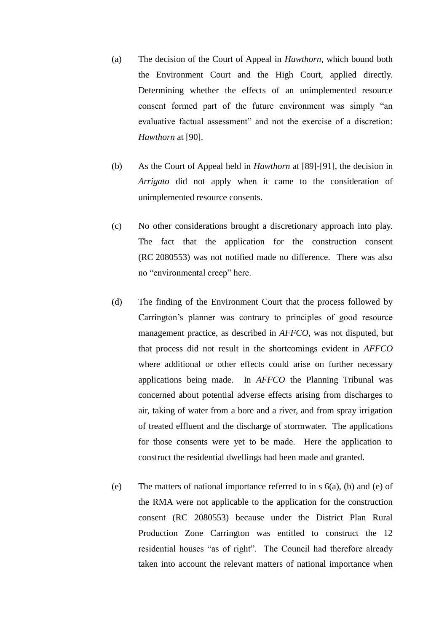- (a) The decision of the Court of Appeal in *Hawthorn*, which bound both the Environment Court and the High Court, applied directly. Determining whether the effects of an unimplemented resource consent formed part of the future environment was simply "an evaluative factual assessment" and not the exercise of a discretion: *Hawthorn* at [90].
- (b) As the Court of Appeal held in *Hawthorn* at [89]-[91], the decision in *Arrigato* did not apply when it came to the consideration of unimplemented resource consents.
- (c) No other considerations brought a discretionary approach into play. The fact that the application for the construction consent (RC 2080553) was not notified made no difference. There was also no "environmental creep" here.
- (d) The finding of the Environment Court that the process followed by Carrington's planner was contrary to principles of good resource management practice, as described in *AFFCO*, was not disputed, but that process did not result in the shortcomings evident in *AFFCO* where additional or other effects could arise on further necessary applications being made. In *AFFCO* the Planning Tribunal was concerned about potential adverse effects arising from discharges to air, taking of water from a bore and a river, and from spray irrigation of treated effluent and the discharge of stormwater. The applications for those consents were yet to be made. Here the application to construct the residential dwellings had been made and granted.
- (e) The matters of national importance referred to in s  $6(a)$ , (b) and (e) of the RMA were not applicable to the application for the construction consent (RC 2080553) because under the District Plan Rural Production Zone Carrington was entitled to construct the 12 residential houses "as of right". The Council had therefore already taken into account the relevant matters of national importance when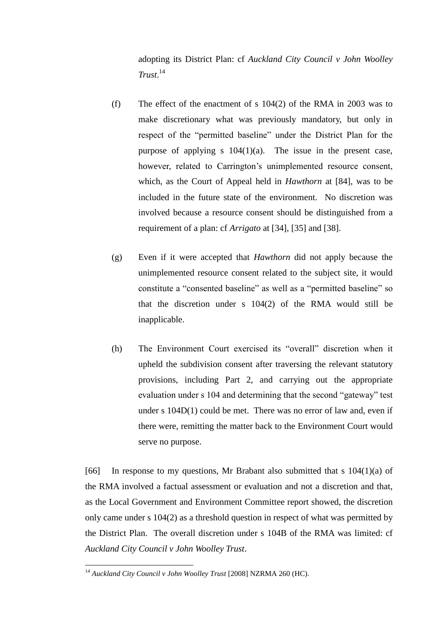adopting its District Plan: cf *Auckland City Council v John Woolley Trust*. 14

- (f) The effect of the enactment of s 104(2) of the RMA in 2003 was to make discretionary what was previously mandatory, but only in respect of the "permitted baseline" under the District Plan for the purpose of applying s 104(1)(a). The issue in the present case, however, related to Carrington's unimplemented resource consent, which, as the Court of Appeal held in *Hawthorn* at [84], was to be included in the future state of the environment. No discretion was involved because a resource consent should be distinguished from a requirement of a plan: cf *Arrigato* at [34], [35] and [38].
- (g) Even if it were accepted that *Hawthorn* did not apply because the unimplemented resource consent related to the subject site, it would constitute a "consented baseline" as well as a "permitted baseline" so that the discretion under s 104(2) of the RMA would still be inapplicable.
- (h) The Environment Court exercised its "overall" discretion when it upheld the subdivision consent after traversing the relevant statutory provisions, including Part 2, and carrying out the appropriate evaluation under s 104 and determining that the second "gateway" test under s 104D(1) could be met. There was no error of law and, even if there were, remitting the matter back to the Environment Court would serve no purpose.

[66] In response to my questions, Mr Brabant also submitted that s  $104(1)(a)$  of the RMA involved a factual assessment or evaluation and not a discretion and that, as the Local Government and Environment Committee report showed, the discretion only came under s 104(2) as a threshold question in respect of what was permitted by the District Plan. The overall discretion under s 104B of the RMA was limited: cf *Auckland City Council v John Woolley Trust*.

<sup>&</sup>lt;sup>14</sup> Auckland City Council v John Woolley Trust [2008] NZRMA 260 (HC).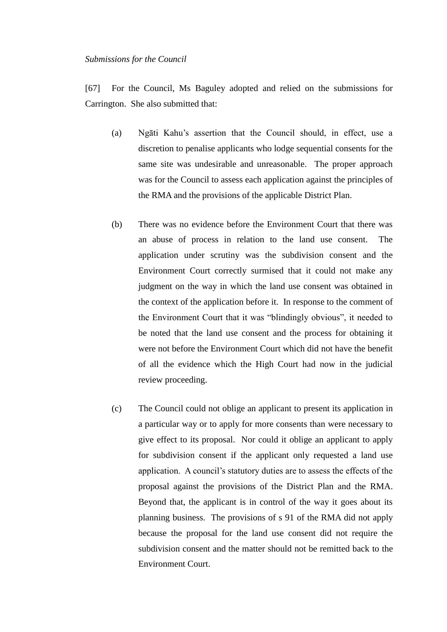### *Submissions for the Council*

[67] For the Council, Ms Baguley adopted and relied on the submissions for Carrington. She also submitted that:

- (a) Ngāti Kahu's assertion that the Council should, in effect, use a discretion to penalise applicants who lodge sequential consents for the same site was undesirable and unreasonable. The proper approach was for the Council to assess each application against the principles of the RMA and the provisions of the applicable District Plan.
- (b) There was no evidence before the Environment Court that there was an abuse of process in relation to the land use consent. The application under scrutiny was the subdivision consent and the Environment Court correctly surmised that it could not make any judgment on the way in which the land use consent was obtained in the context of the application before it. In response to the comment of the Environment Court that it was "blindingly obvious", it needed to be noted that the land use consent and the process for obtaining it were not before the Environment Court which did not have the benefit of all the evidence which the High Court had now in the judicial review proceeding.
- (c) The Council could not oblige an applicant to present its application in a particular way or to apply for more consents than were necessary to give effect to its proposal. Nor could it oblige an applicant to apply for subdivision consent if the applicant only requested a land use application. A council's statutory duties are to assess the effects of the proposal against the provisions of the District Plan and the RMA. Beyond that, the applicant is in control of the way it goes about its planning business. The provisions of s 91 of the RMA did not apply because the proposal for the land use consent did not require the subdivision consent and the matter should not be remitted back to the Environment Court.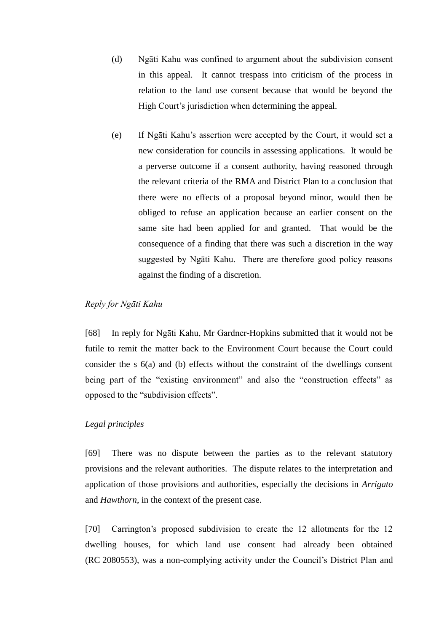- (d) Ngāti Kahu was confined to argument about the subdivision consent in this appeal. It cannot trespass into criticism of the process in relation to the land use consent because that would be beyond the High Court's jurisdiction when determining the appeal.
- (e) If Ngāti Kahu's assertion were accepted by the Court, it would set a new consideration for councils in assessing applications. It would be a perverse outcome if a consent authority, having reasoned through the relevant criteria of the RMA and District Plan to a conclusion that there were no effects of a proposal beyond minor, would then be obliged to refuse an application because an earlier consent on the same site had been applied for and granted. That would be the consequence of a finding that there was such a discretion in the way suggested by Ngāti Kahu. There are therefore good policy reasons against the finding of a discretion.

# *Reply for Ngāti Kahu*

[68] In reply for Ngāti Kahu, Mr Gardner-Hopkins submitted that it would not be futile to remit the matter back to the Environment Court because the Court could consider the s 6(a) and (b) effects without the constraint of the dwellings consent being part of the "existing environment" and also the "construction effects" as opposed to the "subdivision effects".

# *Legal principles*

[69] There was no dispute between the parties as to the relevant statutory provisions and the relevant authorities. The dispute relates to the interpretation and application of those provisions and authorities, especially the decisions in *Arrigato* and *Hawthorn*, in the context of the present case.

[70] Carrington's proposed subdivision to create the 12 allotments for the 12 dwelling houses, for which land use consent had already been obtained (RC 2080553), was a non-complying activity under the Council's District Plan and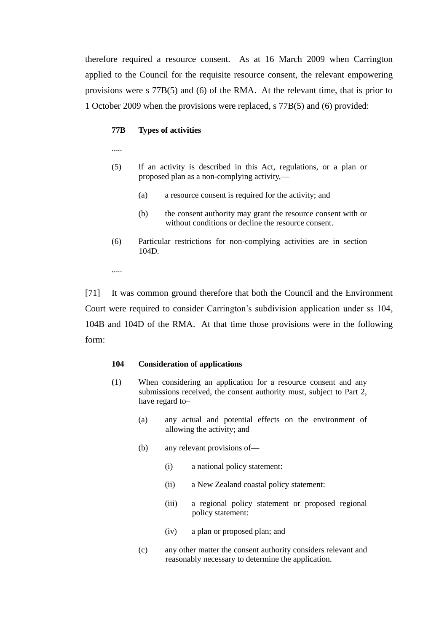therefore required a resource consent. As at 16 March 2009 when Carrington applied to the Council for the requisite resource consent, the relevant empowering provisions were s 77B(5) and (6) of the RMA. At the relevant time, that is prior to 1 October 2009 when the provisions were replaced, s 77B(5) and (6) provided:

### **77B Types of activities**

.....

- (5) If an activity is described in this Act, regulations, or a plan or proposed plan as a non-complying activity,—
	- (a) a resource consent is required for the activity; and
	- (b) the consent authority may grant the resource consent with or without conditions or decline the resource consent.
- (6) Particular restrictions for non-complying activities are in section 104D.

.....

[71] It was common ground therefore that both the Council and the Environment Court were required to consider Carrington's subdivision application under ss 104, 104B and 104D of the RMA. At that time those provisions were in the following form:

### **104 Consideration of applications**

- (1) When considering an application for a resource consent and any submissions received, the consent authority must, subject to Part 2, have regard to–
	- (a) any actual and potential effects on the environment of allowing the activity; and
	- (b) any relevant provisions of—
		- (i) a national policy statement:
		- (ii) a New Zealand coastal policy statement:
		- (iii) a regional policy statement or proposed regional policy statement:
		- (iv) a plan or proposed plan; and
	- (c) any other matter the consent authority considers relevant and reasonably necessary to determine the application.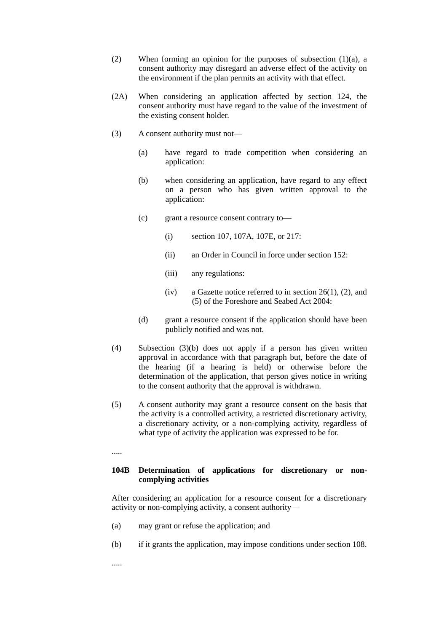- (2) When forming an opinion for the purposes of subsection (1)(a), a consent authority may disregard an adverse effect of the activity on the environment if the plan permits an activity with that effect.
- (2A) When considering an application affected by section 124, the consent authority must have regard to the value of the investment of the existing consent holder.
- (3) A consent authority must not—
	- (a) have regard to trade competition when considering an application:
	- (b) when considering an application, have regard to any effect on a person who has given written approval to the application:
	- (c) grant a resource consent contrary to—
		- (i) section 107, 107A, 107E, or 217:
		- (ii) an Order in Council in force under section 152:
		- (iii) any regulations:
		- (iv) a Gazette notice referred to in section 26(1), (2), and (5) of the Foreshore and Seabed Act 2004:
	- (d) grant a resource consent if the application should have been publicly notified and was not.
- (4) Subsection (3)(b) does not apply if a person has given written approval in accordance with that paragraph but, before the date of the hearing (if a hearing is held) or otherwise before the determination of the application, that person gives notice in writing to the consent authority that the approval is withdrawn.
- (5) A consent authority may grant a resource consent on the basis that the activity is a controlled activity, a restricted discretionary activity, a discretionary activity, or a non-complying activity, regardless of what type of activity the application was expressed to be for.
- .....

# **104B Determination of applications for discretionary or noncomplying activities**

After considering an application for a resource consent for a discretionary activity or non-complying activity, a consent authority—

- (a) may grant or refuse the application; and
- (b) if it grants the application, may impose conditions under section 108.
- .....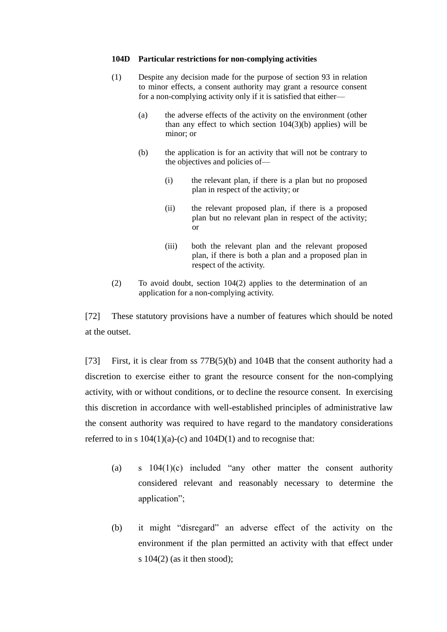#### **104D Particular restrictions for non-complying activities**

- (1) Despite any decision made for the purpose of section 93 in relation to minor effects, a consent authority may grant a resource consent for a non-complying activity only if it is satisfied that either—
	- (a) the adverse effects of the activity on the environment (other than any effect to which section  $104(3)(b)$  applies) will be minor; or
	- (b) the application is for an activity that will not be contrary to the objectives and policies of—
		- (i) the relevant plan, if there is a plan but no proposed plan in respect of the activity; or
		- (ii) the relevant proposed plan, if there is a proposed plan but no relevant plan in respect of the activity; or
		- (iii) both the relevant plan and the relevant proposed plan, if there is both a plan and a proposed plan in respect of the activity.
- (2) To avoid doubt, section 104(2) applies to the determination of an application for a non-complying activity.

[72] These statutory provisions have a number of features which should be noted at the outset.

[73] First, it is clear from ss 77B(5)(b) and 104B that the consent authority had a discretion to exercise either to grant the resource consent for the non-complying activity, with or without conditions, or to decline the resource consent. In exercising this discretion in accordance with well-established principles of administrative law the consent authority was required to have regard to the mandatory considerations referred to in s  $104(1)(a)-(c)$  and  $104D(1)$  and to recognise that:

- (a) s  $104(1)(c)$  included "any other matter the consent authority considered relevant and reasonably necessary to determine the application";
- (b) it might "disregard" an adverse effect of the activity on the environment if the plan permitted an activity with that effect under s  $104(2)$  (as it then stood);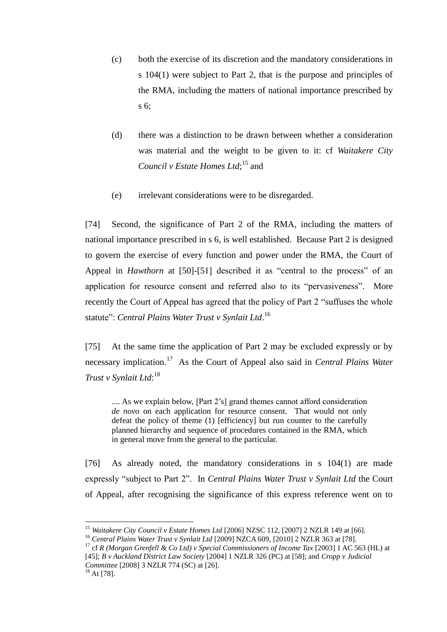- (c) both the exercise of its discretion and the mandatory considerations in s 104(1) were subject to Part 2, that is the purpose and principles of the RMA, including the matters of national importance prescribed by s 6;
- (d) there was a distinction to be drawn between whether a consideration was material and the weight to be given to it: cf *Waitakere City*  Council v Estate Homes Ltd;<sup>15</sup> and
- (e) irrelevant considerations were to be disregarded.

[74] Second, the significance of Part 2 of the RMA, including the matters of national importance prescribed in s 6, is well established. Because Part 2 is designed to govern the exercise of every function and power under the RMA, the Court of Appeal in *Hawthorn* at [50]-[51] described it as "central to the process" of an application for resource consent and referred also to its "pervasiveness". More recently the Court of Appeal has agreed that the policy of Part 2 "suffuses the whole statute": *Central Plains Water Trust v Synlait Ltd*.<sup>16</sup>

[75] At the same time the application of Part 2 may be excluded expressly or by necessary implication.<sup>17</sup> As the Court of Appeal also said in *Central Plains Water Trust v Synlait Ltd*: 18

.... As we explain below, [Part 2's] grand themes cannot afford consideration *de novo* on each application for resource consent. That would not only defeat the policy of theme (1) [efficiency] but run counter to the carefully planned hierarchy and sequence of procedures contained in the RMA, which in general move from the general to the particular.

[76] As already noted, the mandatory considerations in s 104(1) are made expressly "subject to Part 2". In *Central Plains Water Trust v Synlait Ltd* the Court of Appeal, after recognising the significance of this express reference went on to

<sup>&</sup>lt;sup>15</sup> *Waitakere City Council v Estate Homes Ltd* [2006] NZSC 112, [2007] 2 NZLR 149 at [66].

<sup>&</sup>lt;sup>16</sup> Central Plains Water Trust v Synlait Ltd [2009] NZCA 609, [2010] 2 NZLR 363 at [78].

<sup>17</sup> cf *R (Morgan Grenfell & Co Ltd) v Special Commissioners of Income Tax* [2003] 1 AC 563 (HL) at [45]; *B v Auckland District Law Society* [2004] 1 NZLR 326 (PC) at [58]; and *Cropp v Judicial Committee* [2008] 3 NZLR 774 (SC) at [26].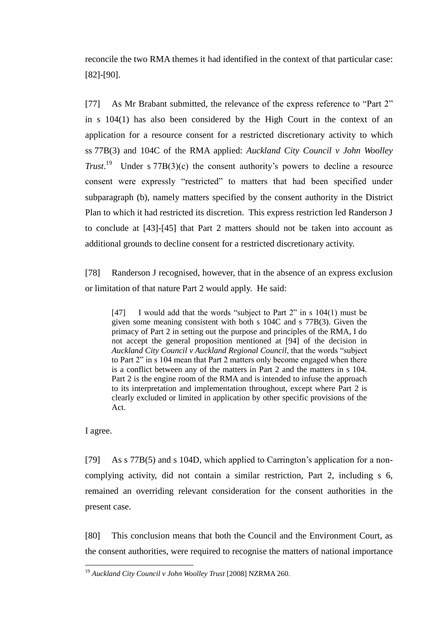reconcile the two RMA themes it had identified in the context of that particular case: [82]-[90].

[77] As Mr Brabant submitted, the relevance of the express reference to "Part 2" in s 104(1) has also been considered by the High Court in the context of an application for a resource consent for a restricted discretionary activity to which ss 77B(3) and 104C of the RMA applied: *Auckland City Council v John Woolley Trust*.<sup>19</sup> Under s  $77B(3)(c)$  the consent authority's powers to decline a resource consent were expressly "restricted" to matters that had been specified under subparagraph (b), namely matters specified by the consent authority in the District Plan to which it had restricted its discretion. This express restriction led Randerson J to conclude at [43]-[45] that Part 2 matters should not be taken into account as additional grounds to decline consent for a restricted discretionary activity.

[78] Randerson J recognised, however, that in the absence of an express exclusion or limitation of that nature Part 2 would apply. He said:

[47] I would add that the words "subject to Part  $2$ " in s  $104(1)$  must be given some meaning consistent with both s 104C and s 77B(3). Given the primacy of Part 2 in setting out the purpose and principles of the RMA, I do not accept the general proposition mentioned at [94] of the decision in Auckland City Council v Auckland Regional Council, that the words "subject to Part 2" in s 104 mean that Part 2 matters only become engaged when there is a conflict between any of the matters in Part 2 and the matters in s 104. Part 2 is the engine room of the RMA and is intended to infuse the approach to its interpretation and implementation throughout, except where Part 2 is clearly excluded or limited in application by other specific provisions of the Act.

I agree.

 $\overline{a}$ 

[79] As s 77B(5) and s 104D, which applied to Carrington's application for a noncomplying activity, did not contain a similar restriction, Part 2, including s 6, remained an overriding relevant consideration for the consent authorities in the present case.

[80] This conclusion means that both the Council and the Environment Court, as the consent authorities, were required to recognise the matters of national importance

<sup>19</sup> *Auckland City Council v John Woolley Trust* [2008] NZRMA 260.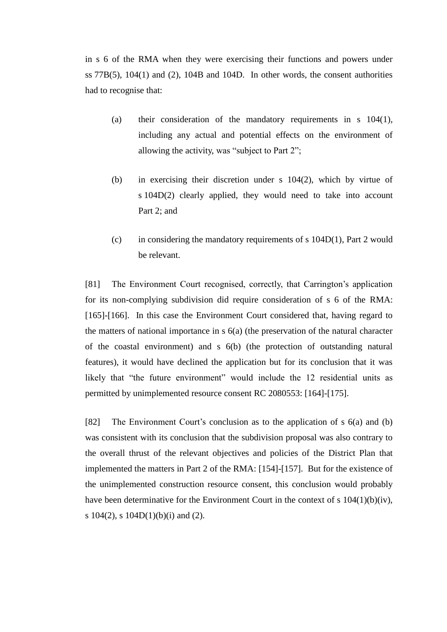in s 6 of the RMA when they were exercising their functions and powers under ss  $77B(5)$ ,  $104(1)$  and  $(2)$ ,  $104B$  and  $104D$ . In other words, the consent authorities had to recognise that:

- (a) their consideration of the mandatory requirements in s 104(1), including any actual and potential effects on the environment of allowing the activity, was "subject to Part  $2$ ";
- (b) in exercising their discretion under s 104(2), which by virtue of s 104D(2) clearly applied, they would need to take into account Part 2; and
- (c) in considering the mandatory requirements of s  $104D(1)$ , Part 2 would be relevant.

[81] The Environment Court recognised, correctly, that Carrington's application for its non-complying subdivision did require consideration of s 6 of the RMA: [165]-[166]. In this case the Environment Court considered that, having regard to the matters of national importance in s 6(a) (the preservation of the natural character of the coastal environment) and s 6(b) (the protection of outstanding natural features), it would have declined the application but for its conclusion that it was likely that "the future environment" would include the 12 residential units as permitted by unimplemented resource consent RC 2080553: [164]-[175].

[82] The Environment Court's conclusion as to the application of s 6(a) and (b) was consistent with its conclusion that the subdivision proposal was also contrary to the overall thrust of the relevant objectives and policies of the District Plan that implemented the matters in Part 2 of the RMA: [154]-[157]. But for the existence of the unimplemented construction resource consent, this conclusion would probably have been determinative for the Environment Court in the context of s 104(1)(b)(iv), s 104(2), s 104D(1)(b)(i) and (2).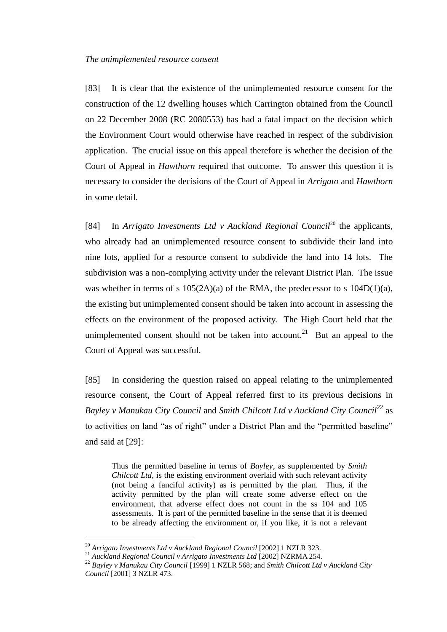# *The unimplemented resource consent*

[83] It is clear that the existence of the unimplemented resource consent for the construction of the 12 dwelling houses which Carrington obtained from the Council on 22 December 2008 (RC 2080553) has had a fatal impact on the decision which the Environment Court would otherwise have reached in respect of the subdivision application. The crucial issue on this appeal therefore is whether the decision of the Court of Appeal in *Hawthorn* required that outcome. To answer this question it is necessary to consider the decisions of the Court of Appeal in *Arrigato* and *Hawthorn* in some detail.

[84] In *Arrigato Investments Ltd v Auckland Regional Council*<sup>20</sup> the applicants, who already had an unimplemented resource consent to subdivide their land into nine lots, applied for a resource consent to subdivide the land into 14 lots. The subdivision was a non-complying activity under the relevant District Plan. The issue was whether in terms of s  $105(2A)(a)$  of the RMA, the predecessor to s  $104D(1)(a)$ , the existing but unimplemented consent should be taken into account in assessing the effects on the environment of the proposed activity. The High Court held that the unimplemented consent should not be taken into account.<sup>21</sup> But an appeal to the Court of Appeal was successful.

[85] In considering the question raised on appeal relating to the unimplemented resource consent, the Court of Appeal referred first to its previous decisions in Bayley v Manukau City Council and Smith Chilcott Ltd v Auckland City Council<sup>22</sup> as to activities on land "as of right" under a District Plan and the "permitted baseline" and said at [29]:

Thus the permitted baseline in terms of *Bayley*, as supplemented by *Smith Chilcott Ltd*, is the existing environment overlaid with such relevant activity (not being a fanciful activity) as is permitted by the plan. Thus, if the activity permitted by the plan will create some adverse effect on the environment, that adverse effect does not count in the ss 104 and 105 assessments. It is part of the permitted baseline in the sense that it is deemed to be already affecting the environment or, if you like, it is not a relevant

<sup>&</sup>lt;sup>20</sup> Arrigato Investments Ltd v Auckland Regional Council <sup>[2002]</sup> 1 NZLR 323.

<sup>21</sup> *Auckland Regional Council v Arrigato Investments Ltd* [2002] NZRMA 254.

<sup>22</sup> *Bayley v Manukau City Council* [1999] 1 NZLR 568; and *Smith Chilcott Ltd v Auckland City Council* [2001] 3 NZLR 473.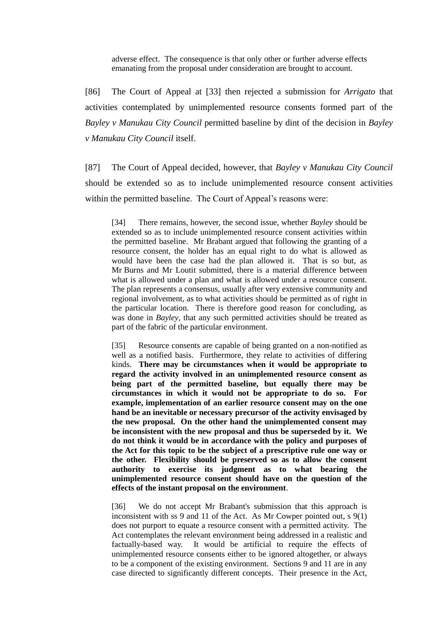adverse effect. The consequence is that only other or further adverse effects emanating from the proposal under consideration are brought to account.

[86] The Court of Appeal at [33] then rejected a submission for *Arrigato* that activities contemplated by unimplemented resource consents formed part of the *Bayley v Manukau City Council* permitted baseline by dint of the decision in *Bayley v Manukau City Council* itself.

[87] The Court of Appeal decided, however, that *Bayley v Manukau City Council* should be extended so as to include unimplemented resource consent activities within the permitted baseline. The Court of Appeal's reasons were:

[34] There remains, however, the second issue, whether *Bayley* should be extended so as to include unimplemented resource consent activities within the permitted baseline. Mr Brabant argued that following the granting of a resource consent, the holder has an equal right to do what is allowed as would have been the case had the plan allowed it. That is so but, as Mr Burns and Mr Loutit submitted, there is a material difference between what is allowed under a plan and what is allowed under a resource consent. The plan represents a consensus, usually after very extensive community and regional involvement, as to what activities should be permitted as of right in the particular location. There is therefore good reason for concluding, as was done in *Bayley*, that any such permitted activities should be treated as part of the fabric of the particular environment.

[35] Resource consents are capable of being granted on a non-notified as well as a notified basis. Furthermore, they relate to activities of differing kinds. **There may be circumstances when it would be appropriate to regard the activity involved in an unimplemented resource consent as being part of the permitted baseline, but equally there may be circumstances in which it would not be appropriate to do so. For example, implementation of an earlier resource consent may on the one hand be an inevitable or necessary precursor of the activity envisaged by the new proposal. On the other hand the unimplemented consent may be inconsistent with the new proposal and thus be superseded by it. We do not think it would be in accordance with the policy and purposes of the Act for this topic to be the subject of a prescriptive rule one way or the other. Flexibility should be preserved so as to allow the consent authority to exercise its judgment as to what bearing the unimplemented resource consent should have on the question of the effects of the instant proposal on the environment**.

[36] We do not accept Mr Brabant's submission that this approach is inconsistent with ss 9 and 11 of the Act. As Mr Cowper pointed out, s 9(1) does not purport to equate a resource consent with a permitted activity. The Act contemplates the relevant environment being addressed in a realistic and factually-based way. It would be artificial to require the effects of unimplemented resource consents either to be ignored altogether, or always to be a component of the existing environment. Sections 9 and 11 are in any case directed to significantly different concepts. Their presence in the Act,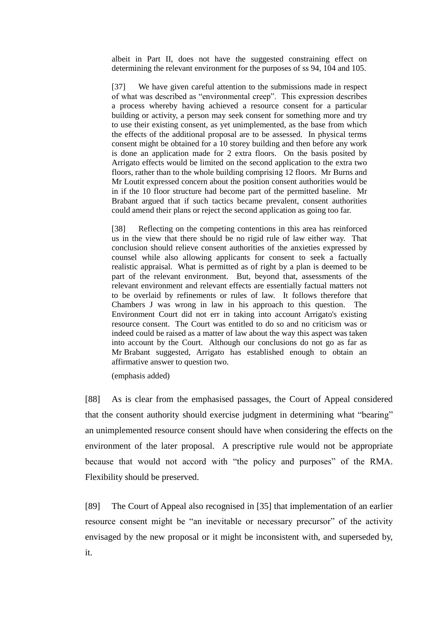albeit in Part II, does not have the suggested constraining effect on determining the relevant environment for the purposes of ss 94, 104 and 105.

[37] We have given careful attention to the submissions made in respect of what was described as "environmental creep". This expression describes a process whereby having achieved a resource consent for a particular building or activity, a person may seek consent for something more and try to use their existing consent, as yet unimplemented, as the base from which the effects of the additional proposal are to be assessed. In physical terms consent might be obtained for a 10 storey building and then before any work is done an application made for 2 extra floors. On the basis posited by Arrigato effects would be limited on the second application to the extra two floors, rather than to the whole building comprising 12 floors. Mr Burns and Mr Loutit expressed concern about the position consent authorities would be in if the 10 floor structure had become part of the permitted baseline. Mr Brabant argued that if such tactics became prevalent, consent authorities could amend their plans or reject the second application as going too far.

[38] Reflecting on the competing contentions in this area has reinforced us in the view that there should be no rigid rule of law either way. That conclusion should relieve consent authorities of the anxieties expressed by counsel while also allowing applicants for consent to seek a factually realistic appraisal. What is permitted as of right by a plan is deemed to be part of the relevant environment. But, beyond that, assessments of the relevant environment and relevant effects are essentially factual matters not to be overlaid by refinements or rules of law. It follows therefore that Chambers J was wrong in law in his approach to this question. The Environment Court did not err in taking into account Arrigato's existing resource consent. The Court was entitled to do so and no criticism was or indeed could be raised as a matter of law about the way this aspect was taken into account by the Court. Although our conclusions do not go as far as Mr Brabant suggested, Arrigato has established enough to obtain an affirmative answer to question two.

(emphasis added)

[88] As is clear from the emphasised passages, the Court of Appeal considered that the consent authority should exercise judgment in determining what "bearing" an unimplemented resource consent should have when considering the effects on the environment of the later proposal. A prescriptive rule would not be appropriate because that would not accord with "the policy and purposes" of the RMA. Flexibility should be preserved.

[89] The Court of Appeal also recognised in [35] that implementation of an earlier resource consent might be "an inevitable or necessary precursor" of the activity envisaged by the new proposal or it might be inconsistent with, and superseded by, it.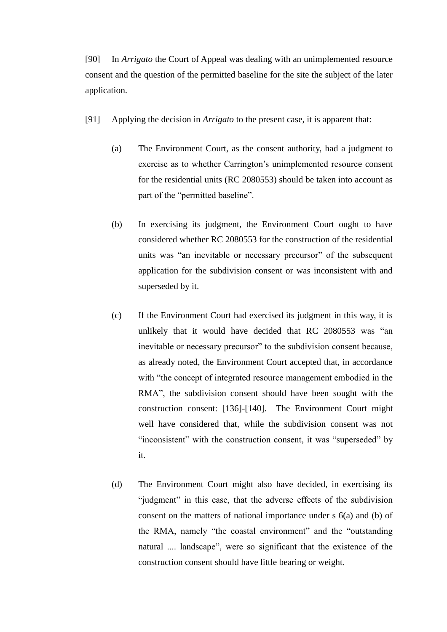[90] In *Arrigato* the Court of Appeal was dealing with an unimplemented resource consent and the question of the permitted baseline for the site the subject of the later application.

- [91] Applying the decision in *Arrigato* to the present case, it is apparent that:
	- (a) The Environment Court, as the consent authority, had a judgment to exercise as to whether Carrington's unimplemented resource consent for the residential units (RC 2080553) should be taken into account as part of the "permitted baseline".
	- (b) In exercising its judgment, the Environment Court ought to have considered whether RC 2080553 for the construction of the residential units was "an inevitable or necessary precursor" of the subsequent application for the subdivision consent or was inconsistent with and superseded by it.
	- (c) If the Environment Court had exercised its judgment in this way, it is unlikely that it would have decided that RC 2080553 was "an inevitable or necessary precursor" to the subdivision consent because, as already noted, the Environment Court accepted that, in accordance with "the concept of integrated resource management embodied in the RMA", the subdivision consent should have been sought with the construction consent: [136]-[140]. The Environment Court might well have considered that, while the subdivision consent was not "inconsistent" with the construction consent, it was "superseded" by it.
	- (d) The Environment Court might also have decided, in exercising its "judgment" in this case, that the adverse effects of the subdivision consent on the matters of national importance under s 6(a) and (b) of the RMA, namely "the coastal environment" and the "outstanding" natural .... landscape", were so significant that the existence of the construction consent should have little bearing or weight.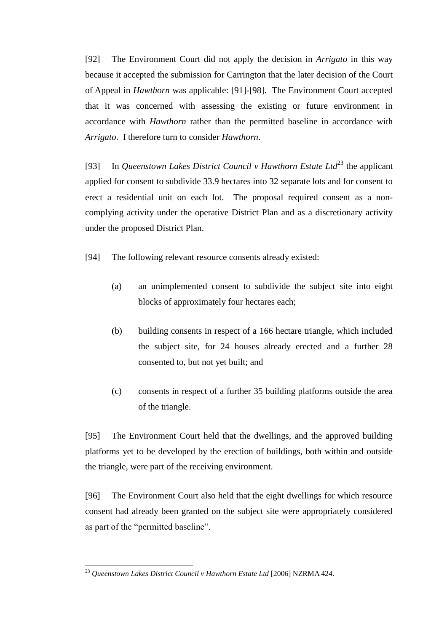[92] The Environment Court did not apply the decision in *Arrigato* in this way because it accepted the submission for Carrington that the later decision of the Court of Appeal in *Hawthorn* was applicable: [91]-[98]. The Environment Court accepted that it was concerned with assessing the existing or future environment in accordance with *Hawthorn* rather than the permitted baseline in accordance with *Arrigato*. I therefore turn to consider *Hawthorn*.

[93] In *Queenstown Lakes District Council v Hawthorn Estate Ltd*<sup>23</sup> the applicant applied for consent to subdivide 33.9 hectares into 32 separate lots and for consent to erect a residential unit on each lot. The proposal required consent as a noncomplying activity under the operative District Plan and as a discretionary activity under the proposed District Plan.

[94] The following relevant resource consents already existed:

- (a) an unimplemented consent to subdivide the subject site into eight blocks of approximately four hectares each;
- (b) building consents in respect of a 166 hectare triangle, which included the subject site, for 24 houses already erected and a further 28 consented to, but not yet built; and
- (c) consents in respect of a further 35 building platforms outside the area of the triangle.

[95] The Environment Court held that the dwellings, and the approved building platforms yet to be developed by the erection of buildings, both within and outside the triangle, were part of the receiving environment.

[96] The Environment Court also held that the eight dwellings for which resource consent had already been granted on the subject site were appropriately considered as part of the "permitted baseline".

<sup>23</sup> *Queenstown Lakes District Council v Hawthorn Estate Ltd* [2006] NZRMA 424.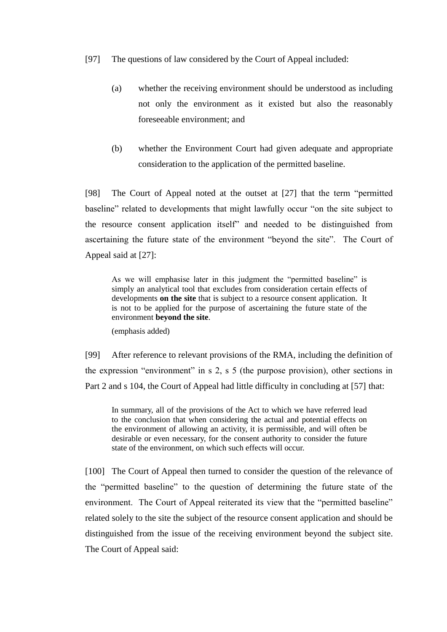- [97] The questions of law considered by the Court of Appeal included:
	- (a) whether the receiving environment should be understood as including not only the environment as it existed but also the reasonably foreseeable environment; and
	- (b) whether the Environment Court had given adequate and appropriate consideration to the application of the permitted baseline.

[98] The Court of Appeal noted at the outset at [27] that the term "permitted" baseline" related to developments that might lawfully occur "on the site subject to the resource consent application itself" and needed to be distinguished from ascertaining the future state of the environment "beyond the site". The Court of Appeal said at [27]:

As we will emphasise later in this judgment the "permitted baseline" is simply an analytical tool that excludes from consideration certain effects of developments **on the site** that is subject to a resource consent application. It is not to be applied for the purpose of ascertaining the future state of the environment **beyond the site**.

(emphasis added)

[99] After reference to relevant provisions of the RMA, including the definition of the expression "environment" in s 2, s 5 (the purpose provision), other sections in Part 2 and s 104, the Court of Appeal had little difficulty in concluding at [57] that:

In summary, all of the provisions of the Act to which we have referred lead to the conclusion that when considering the actual and potential effects on the environment of allowing an activity, it is permissible, and will often be desirable or even necessary, for the consent authority to consider the future state of the environment, on which such effects will occur.

[100] The Court of Appeal then turned to consider the question of the relevance of the "permitted baseline" to the question of determining the future state of the environment. The Court of Appeal reiterated its view that the "permitted baseline" related solely to the site the subject of the resource consent application and should be distinguished from the issue of the receiving environment beyond the subject site. The Court of Appeal said: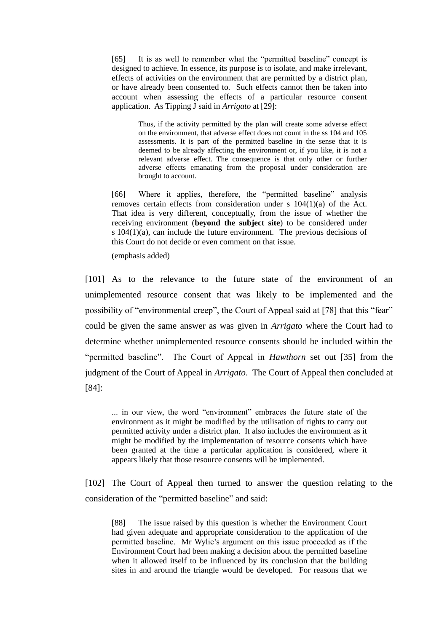[65] It is as well to remember what the "permitted baseline" concept is designed to achieve. In essence, its purpose is to isolate, and make irrelevant, effects of activities on the environment that are permitted by a district plan, or have already been consented to. Such effects cannot then be taken into account when assessing the effects of a particular resource consent application. As Tipping J said in *Arrigato* at [29]:

> Thus, if the activity permitted by the plan will create some adverse effect on the environment, that adverse effect does not count in the ss 104 and 105 assessments. It is part of the permitted baseline in the sense that it is deemed to be already affecting the environment or, if you like, it is not a relevant adverse effect. The consequence is that only other or further adverse effects emanating from the proposal under consideration are brought to account.

[66] Where it applies, therefore, the "permitted baseline" analysis removes certain effects from consideration under s 104(1)(a) of the Act. That idea is very different, conceptually, from the issue of whether the receiving environment (**beyond the subject site**) to be considered under s 104(1)(a), can include the future environment. The previous decisions of this Court do not decide or even comment on that issue.

(emphasis added)

[101] As to the relevance to the future state of the environment of an unimplemented resource consent that was likely to be implemented and the possibility of "environmental creep", the Court of Appeal said at [78] that this "fear" could be given the same answer as was given in *Arrigato* where the Court had to determine whether unimplemented resource consents should be included within the "permitted baseline". The Court of Appeal in *Hawthorn* set out [35] from the judgment of the Court of Appeal in *Arrigato*. The Court of Appeal then concluded at [84]:

... in our view, the word "environment" embraces the future state of the environment as it might be modified by the utilisation of rights to carry out permitted activity under a district plan. It also includes the environment as it might be modified by the implementation of resource consents which have been granted at the time a particular application is considered, where it appears likely that those resource consents will be implemented.

[102] The Court of Appeal then turned to answer the question relating to the consideration of the "permitted baseline" and said:

[88] The issue raised by this question is whether the Environment Court had given adequate and appropriate consideration to the application of the permitted baseline. Mr Wylie's argument on this issue proceeded as if the Environment Court had been making a decision about the permitted baseline when it allowed itself to be influenced by its conclusion that the building sites in and around the triangle would be developed. For reasons that we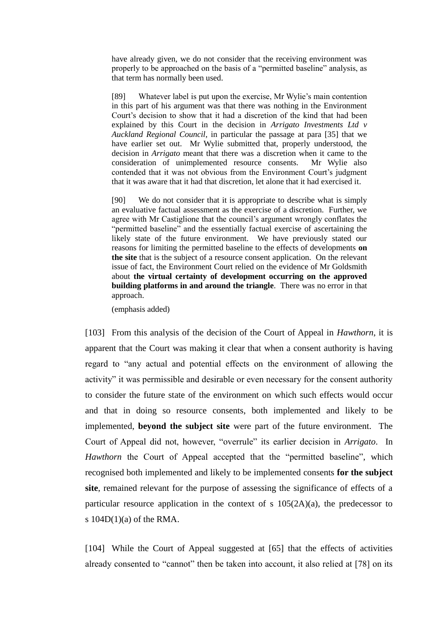have already given, we do not consider that the receiving environment was properly to be approached on the basis of a "permitted baseline" analysis, as that term has normally been used.

[89] Whatever label is put upon the exercise, Mr Wylie's main contention in this part of his argument was that there was nothing in the Environment Court's decision to show that it had a discretion of the kind that had been explained by this Court in the decision in *Arrigato Investments Ltd v Auckland Regional Council*, in particular the passage at para [35] that we have earlier set out. Mr Wylie submitted that, properly understood, the decision in *Arrigato* meant that there was a discretion when it came to the consideration of unimplemented resource consents. Mr Wylie also contended that it was not obvious from the Environment Court's judgment that it was aware that it had that discretion, let alone that it had exercised it.

[90] We do not consider that it is appropriate to describe what is simply an evaluative factual assessment as the exercise of a discretion. Further, we agree with Mr Castiglione that the council's argument wrongly conflates the "permitted baseline" and the essentially factual exercise of ascertaining the likely state of the future environment. We have previously stated our reasons for limiting the permitted baseline to the effects of developments **on the site** that is the subject of a resource consent application. On the relevant issue of fact, the Environment Court relied on the evidence of Mr Goldsmith about **the virtual certainty of development occurring on the approved building platforms in and around the triangle**. There was no error in that approach.

(emphasis added)

[103] From this analysis of the decision of the Court of Appeal in *Hawthorn*, it is apparent that the Court was making it clear that when a consent authority is having regard to "any actual and potential effects on the environment of allowing the activity" it was permissible and desirable or even necessary for the consent authority to consider the future state of the environment on which such effects would occur and that in doing so resource consents, both implemented and likely to be implemented, **beyond the subject site** were part of the future environment. The Court of Appeal did not, however, "overrule" its earlier decision in *Arrigato*. In *Hawthorn* the Court of Appeal accepted that the "permitted baseline", which recognised both implemented and likely to be implemented consents **for the subject site**, remained relevant for the purpose of assessing the significance of effects of a particular resource application in the context of s  $105(2A)(a)$ , the predecessor to s  $104D(1)(a)$  of the RMA.

[104] While the Court of Appeal suggested at [65] that the effects of activities already consented to "cannot" then be taken into account, it also relied at [78] on its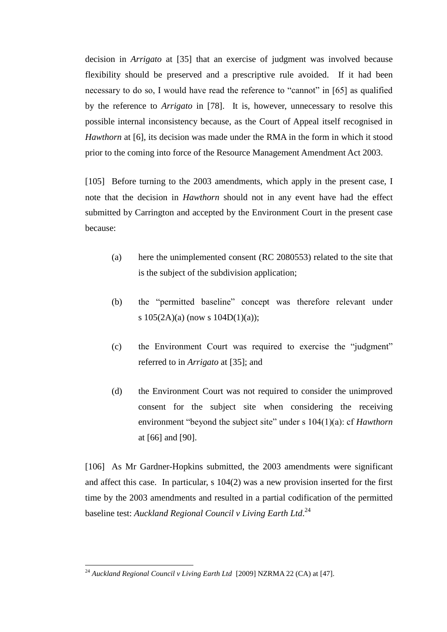decision in *Arrigato* at [35] that an exercise of judgment was involved because flexibility should be preserved and a prescriptive rule avoided. If it had been necessary to do so, I would have read the reference to "cannot" in [65] as qualified by the reference to *Arrigato* in [78]. It is, however, unnecessary to resolve this possible internal inconsistency because, as the Court of Appeal itself recognised in *Hawthorn* at [6], its decision was made under the RMA in the form in which it stood prior to the coming into force of the Resource Management Amendment Act 2003.

[105] Before turning to the 2003 amendments, which apply in the present case, I note that the decision in *Hawthorn* should not in any event have had the effect submitted by Carrington and accepted by the Environment Court in the present case because:

- (a) here the unimplemented consent (RC 2080553) related to the site that is the subject of the subdivision application;
- (b) the "permitted baseline" concept was therefore relevant under s  $105(2A)(a)$  (now s  $104D(1)(a)$ );
- (c) the Environment Court was required to exercise the "judgment" referred to in *Arrigato* at [35]; and
- (d) the Environment Court was not required to consider the unimproved consent for the subject site when considering the receiving environment "beyond the subject site" under s 104(1)(a): cf *Hawthorn* at [66] and [90].

[106] As Mr Gardner-Hopkins submitted, the 2003 amendments were significant and affect this case. In particular, s 104(2) was a new provision inserted for the first time by the 2003 amendments and resulted in a partial codification of the permitted baseline test: *Auckland Regional Council v Living Earth Ltd*. 24

<sup>&</sup>lt;sup>24</sup> Auckland Regional Council v Living Earth Ltd [2009] NZRMA 22 (CA) at [47].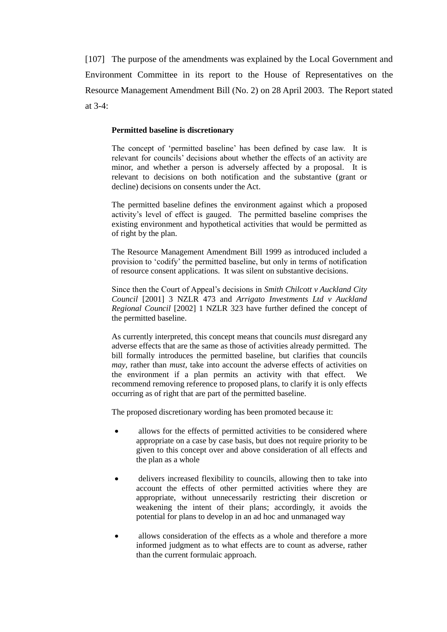[107] The purpose of the amendments was explained by the Local Government and Environment Committee in its report to the House of Representatives on the Resource Management Amendment Bill (No. 2) on 28 April 2003. The Report stated at  $3-4$ 

### **Permitted baseline is discretionary**

The concept of 'permitted baseline' has been defined by case law. It is relevant for councils' decisions about whether the effects of an activity are minor, and whether a person is adversely affected by a proposal. It is relevant to decisions on both notification and the substantive (grant or decline) decisions on consents under the Act.

The permitted baseline defines the environment against which a proposed activity's level of effect is gauged. The permitted baseline comprises the existing environment and hypothetical activities that would be permitted as of right by the plan.

The Resource Management Amendment Bill 1999 as introduced included a provision to 'codify' the permitted baseline, but only in terms of notification of resource consent applications. It was silent on substantive decisions.

Since then the Court of Appeal's decisions in *Smith Chilcott v Auckland City Council* [2001] 3 NZLR 473 and *Arrigato Investments Ltd v Auckland Regional Council* [2002] 1 NZLR 323 have further defined the concept of the permitted baseline.

As currently interpreted, this concept means that councils *must* disregard any adverse effects that are the same as those of activities already permitted. The bill formally introduces the permitted baseline, but clarifies that councils *may*, rather than *must*, take into account the adverse effects of activities on the environment if a plan permits an activity with that effect. We recommend removing reference to proposed plans, to clarify it is only effects occurring as of right that are part of the permitted baseline.

The proposed discretionary wording has been promoted because it:

- allows for the effects of permitted activities to be considered where appropriate on a case by case basis, but does not require priority to be given to this concept over and above consideration of all effects and the plan as a whole
- delivers increased flexibility to councils, allowing then to take into account the effects of other permitted activities where they are appropriate, without unnecessarily restricting their discretion or weakening the intent of their plans; accordingly, it avoids the potential for plans to develop in an ad hoc and unmanaged way
- allows consideration of the effects as a whole and therefore a more  $\bullet$ informed judgment as to what effects are to count as adverse, rather than the current formulaic approach.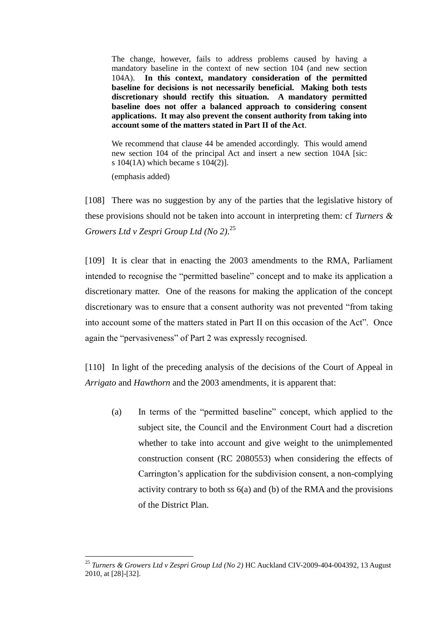The change, however, fails to address problems caused by having a mandatory baseline in the context of new section 104 (and new section 104A). **In this context, mandatory consideration of the permitted baseline for decisions is not necessarily beneficial. Making both tests discretionary should rectify this situation. A mandatory permitted baseline does not offer a balanced approach to considering consent applications. It may also prevent the consent authority from taking into account some of the matters stated in Part II of the Act**.

We recommend that clause 44 be amended accordingly. This would amend new section 104 of the principal Act and insert a new section 104A [sic: s 104(1A) which became s 104(2)].

(emphasis added)

 $\overline{a}$ 

[108] There was no suggestion by any of the parties that the legislative history of these provisions should not be taken into account in interpreting them: cf *Turners & Growers Ltd v Zespri Group Ltd (No 2)*. 25

[109] It is clear that in enacting the 2003 amendments to the RMA, Parliament intended to recognise the "permitted baseline" concept and to make its application a discretionary matter. One of the reasons for making the application of the concept discretionary was to ensure that a consent authority was not prevented "from taking into account some of the matters stated in Part II on this occasion of the  $Act$ . Once again the "pervasiveness" of Part 2 was expressly recognised.

[110] In light of the preceding analysis of the decisions of the Court of Appeal in *Arrigato* and *Hawthorn* and the 2003 amendments, it is apparent that:

(a) In terms of the "permitted baseline" concept, which applied to the subject site, the Council and the Environment Court had a discretion whether to take into account and give weight to the unimplemented construction consent (RC 2080553) when considering the effects of Carrington's application for the subdivision consent, a non-complying activity contrary to both ss  $6(a)$  and (b) of the RMA and the provisions of the District Plan.

<sup>25</sup> *Turners & Growers Ltd v Zespri Group Ltd (No 2)* HC Auckland CIV-2009-404-004392, 13 August 2010, at [28]-[32].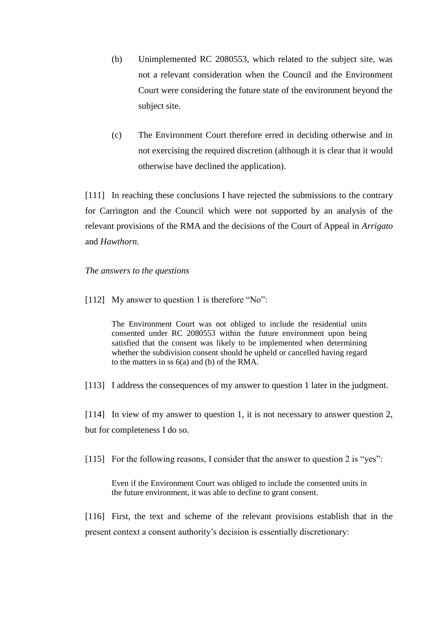- (b) Unimplemented RC 2080553, which related to the subject site, was not a relevant consideration when the Council and the Environment Court were considering the future state of the environment beyond the subject site.
- (c) The Environment Court therefore erred in deciding otherwise and in not exercising the required discretion (although it is clear that it would otherwise have declined the application).

[111] In reaching these conclusions I have rejected the submissions to the contrary for Carrington and the Council which were not supported by an analysis of the relevant provisions of the RMA and the decisions of the Court of Appeal in *Arrigato* and *Hawthorn*.

*The answers to the questions*

[112] My answer to question 1 is therefore "No":

The Environment Court was not obliged to include the residential units consented under RC 2080553 within the future environment upon being satisfied that the consent was likely to be implemented when determining whether the subdivision consent should be upheld or cancelled having regard to the matters in ss 6(a) and (b) of the RMA.

[113] I address the consequences of my answer to question 1 later in the judgment.

[114] In view of my answer to question 1, it is not necessary to answer question 2, but for completeness I do so.

[115] For the following reasons, I consider that the answer to question 2 is "yes":

Even if the Environment Court was obliged to include the consented units in the future environment, it was able to decline to grant consent.

[116] First, the text and scheme of the relevant provisions establish that in the present context a consent authority's decision is essentially discretionary: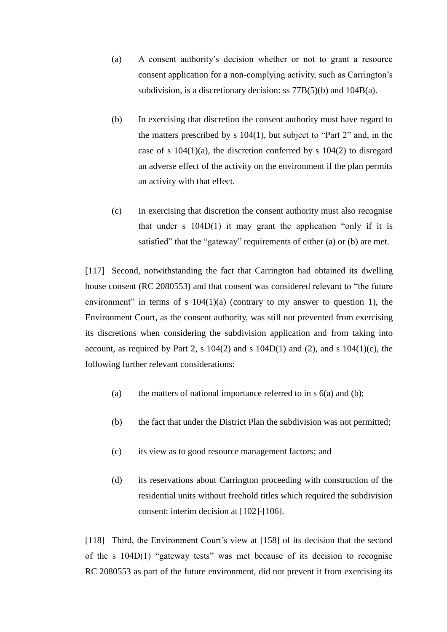- (a) A consent authority's decision whether or not to grant a resource consent application for a non-complying activity, such as Carrington's subdivision, is a discretionary decision: ss 77B(5)(b) and 104B(a).
- (b) In exercising that discretion the consent authority must have regard to the matters prescribed by s  $104(1)$ , but subject to "Part 2" and, in the case of s  $104(1)(a)$ , the discretion conferred by s  $104(2)$  to disregard an adverse effect of the activity on the environment if the plan permits an activity with that effect.
- (c) In exercising that discretion the consent authority must also recognise that under s  $104D(1)$  it may grant the application "only if it is satisfied" that the "gateway" requirements of either (a) or (b) are met.

[117] Second, notwithstanding the fact that Carrington had obtained its dwelling house consent (RC 2080553) and that consent was considered relevant to "the future" environment" in terms of s  $104(1)(a)$  (contrary to my answer to question 1), the Environment Court, as the consent authority, was still not prevented from exercising its discretions when considering the subdivision application and from taking into account, as required by Part 2, s  $104(2)$  and s  $104D(1)$  and  $(2)$ , and s  $104(1)(c)$ , the following further relevant considerations:

- (a) the matters of national importance referred to in s  $6(a)$  and (b);
- (b) the fact that under the District Plan the subdivision was not permitted;
- (c) its view as to good resource management factors; and
- (d) its reservations about Carrington proceeding with construction of the residential units without freehold titles which required the subdivision consent: interim decision at [102]-[106].

[118] Third, the Environment Court's view at [158] of its decision that the second of the s 104D(1) "gateway tests" was met because of its decision to recognise RC 2080553 as part of the future environment, did not prevent it from exercising its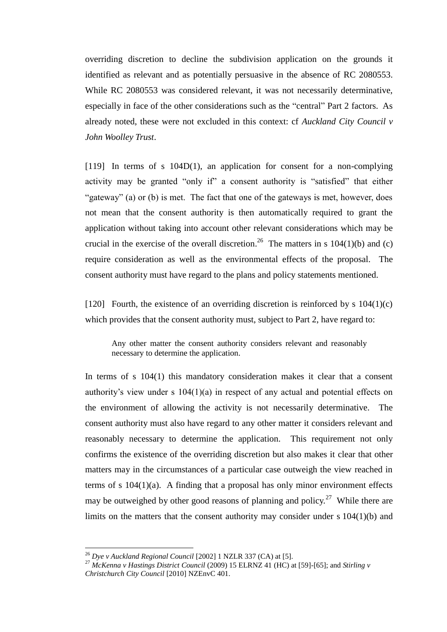overriding discretion to decline the subdivision application on the grounds it identified as relevant and as potentially persuasive in the absence of RC 2080553. While RC 2080553 was considered relevant, it was not necessarily determinative, especially in face of the other considerations such as the "central" Part 2 factors. As already noted, these were not excluded in this context: cf *Auckland City Council v John Woolley Trust*.

[119] In terms of s 104D(1), an application for consent for a non-complying activity may be granted "only if" a consent authority is "satisfied" that either "gateway" (a) or (b) is met. The fact that one of the gateways is met, however, does not mean that the consent authority is then automatically required to grant the application without taking into account other relevant considerations which may be crucial in the exercise of the overall discretion.<sup>26</sup> The matters in s 104(1)(b) and (c) require consideration as well as the environmental effects of the proposal. The consent authority must have regard to the plans and policy statements mentioned.

[120] Fourth, the existence of an overriding discretion is reinforced by  $s \frac{104(1)}{c}$ which provides that the consent authority must, subject to Part 2, have regard to:

Any other matter the consent authority considers relevant and reasonably necessary to determine the application.

In terms of s 104(1) this mandatory consideration makes it clear that a consent authority's view under s 104(1)(a) in respect of any actual and potential effects on the environment of allowing the activity is not necessarily determinative. The consent authority must also have regard to any other matter it considers relevant and reasonably necessary to determine the application. This requirement not only confirms the existence of the overriding discretion but also makes it clear that other matters may in the circumstances of a particular case outweigh the view reached in terms of s 104(1)(a). A finding that a proposal has only minor environment effects may be outweighed by other good reasons of planning and policy.<sup>27</sup> While there are limits on the matters that the consent authority may consider under s 104(1)(b) and

<sup>26</sup> *Dye v Auckland Regional Council* [2002] 1 NZLR 337 (CA) at [5].

<sup>27</sup> *McKenna v Hastings District Council* (2009) 15 ELRNZ 41 (HC) at [59]-[65]; and *Stirling v Christchurch City Council* [2010] NZEnvC 401.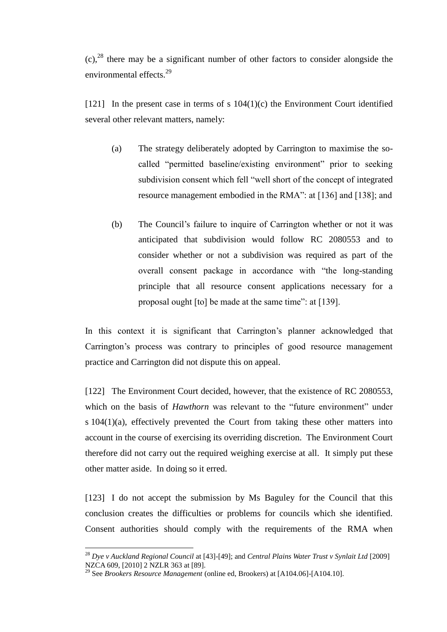$(c)$ ,<sup>28</sup> there may be a significant number of other factors to consider alongside the environmental effects.<sup>29</sup>

[121] In the present case in terms of s  $104(1)(c)$  the Environment Court identified several other relevant matters, namely:

- (a) The strategy deliberately adopted by Carrington to maximise the socalled "permitted baseline/existing environment" prior to seeking subdivision consent which fell "well short of the concept of integrated resource management embodied in the RMA": at [136] and [138]; and
- (b) The Council's failure to inquire of Carrington whether or not it was anticipated that subdivision would follow RC 2080553 and to consider whether or not a subdivision was required as part of the overall consent package in accordance with "the long-standing" principle that all resource consent applications necessary for a proposal ought [to] be made at the same time": at [139].

In this context it is significant that Carrington's planner acknowledged that Carrington's process was contrary to principles of good resource management practice and Carrington did not dispute this on appeal.

[122] The Environment Court decided, however, that the existence of RC 2080553, which on the basis of *Hawthorn* was relevant to the "future environment" under s 104(1)(a), effectively prevented the Court from taking these other matters into account in the course of exercising its overriding discretion. The Environment Court therefore did not carry out the required weighing exercise at all. It simply put these other matter aside. In doing so it erred.

[123] I do not accept the submission by Ms Baguley for the Council that this conclusion creates the difficulties or problems for councils which she identified. Consent authorities should comply with the requirements of the RMA when

<sup>28</sup> *Dye v Auckland Regional Council* at [43]-[49]; and *Central Plains Water Trust v Synlait Ltd* [2009] NZCA 609, [2010] 2 NZLR 363 at [89].

<sup>29</sup> See *Brookers Resource Management* (online ed, Brookers) at [A104.06]-[A104.10].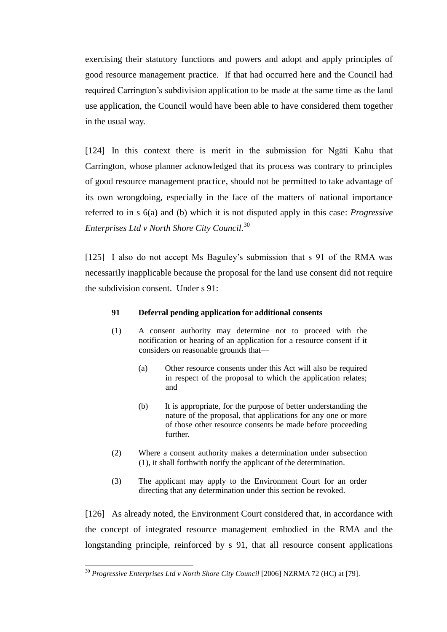exercising their statutory functions and powers and adopt and apply principles of good resource management practice. If that had occurred here and the Council had required Carrington's subdivision application to be made at the same time as the land use application, the Council would have been able to have considered them together in the usual way.

[124] In this context there is merit in the submission for Ngāti Kahu that Carrington, whose planner acknowledged that its process was contrary to principles of good resource management practice, should not be permitted to take advantage of its own wrongdoing, especially in the face of the matters of national importance referred to in s 6(a) and (b) which it is not disputed apply in this case: *Progressive Enterprises Ltd v North Shore City Council.*<sup>30</sup>

[125] I also do not accept Ms Baguley's submission that s 91 of the RMA was necessarily inapplicable because the proposal for the land use consent did not require the subdivision consent. Under s 91:

### **91 Deferral pending application for additional consents**

- (1) A consent authority may determine not to proceed with the notification or hearing of an application for a resource consent if it considers on reasonable grounds that—
	- (a) Other resource consents under this Act will also be required in respect of the proposal to which the application relates; and
	- (b) It is appropriate, for the purpose of better understanding the nature of the proposal, that applications for any one or more of those other resource consents be made before proceeding further.
- (2) Where a consent authority makes a determination under subsection (1), it shall forthwith notify the applicant of the determination.
- (3) The applicant may apply to the Environment Court for an order directing that any determination under this section be revoked.

[126] As already noted, the Environment Court considered that, in accordance with the concept of integrated resource management embodied in the RMA and the longstanding principle, reinforced by s 91, that all resource consent applications

<sup>30</sup> *Progressive Enterprises Ltd v North Shore City Council* [2006] NZRMA 72 (HC) at [79].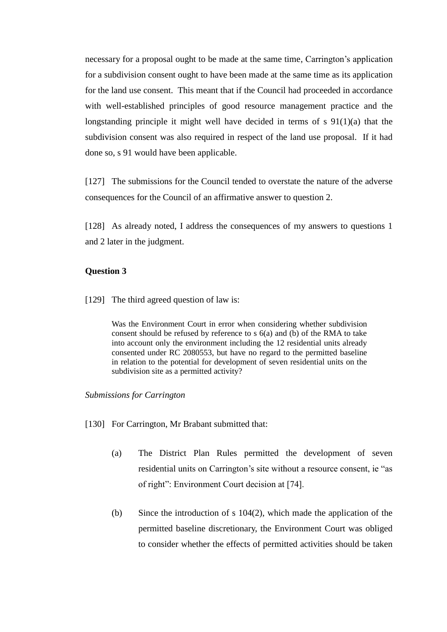necessary for a proposal ought to be made at the same time, Carrington's application for a subdivision consent ought to have been made at the same time as its application for the land use consent. This meant that if the Council had proceeded in accordance with well-established principles of good resource management practice and the longstanding principle it might well have decided in terms of s 91(1)(a) that the subdivision consent was also required in respect of the land use proposal. If it had done so, s 91 would have been applicable.

[127] The submissions for the Council tended to overstate the nature of the adverse consequences for the Council of an affirmative answer to question 2.

[128] As already noted, I address the consequences of my answers to questions 1 and 2 later in the judgment.

# **Question 3**

[129] The third agreed question of law is:

Was the Environment Court in error when considering whether subdivision consent should be refused by reference to s 6(a) and (b) of the RMA to take into account only the environment including the 12 residential units already consented under RC 2080553, but have no regard to the permitted baseline in relation to the potential for development of seven residential units on the subdivision site as a permitted activity?

### *Submissions for Carrington*

- [130] For Carrington, Mr Brabant submitted that:
	- (a) The District Plan Rules permitted the development of seven residential units on Carrington's site without a resource consent, ie "as of right": Environment Court decision at [74].
	- (b) Since the introduction of s 104(2), which made the application of the permitted baseline discretionary, the Environment Court was obliged to consider whether the effects of permitted activities should be taken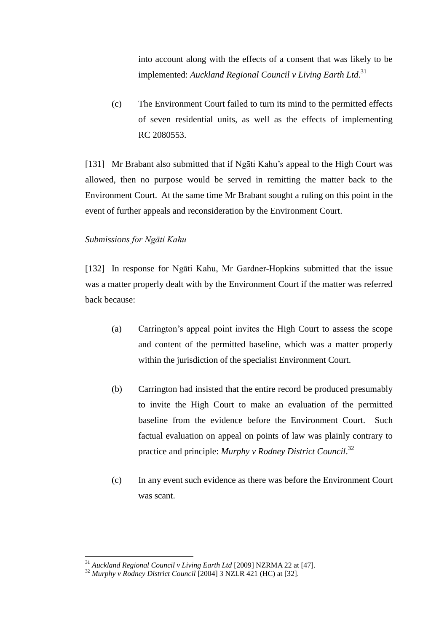into account along with the effects of a consent that was likely to be implemented: *Auckland Regional Council v Living Earth Ltd*. 31

(c) The Environment Court failed to turn its mind to the permitted effects of seven residential units, as well as the effects of implementing RC 2080553.

[131] Mr Brabant also submitted that if Ngāti Kahu's appeal to the High Court was allowed, then no purpose would be served in remitting the matter back to the Environment Court. At the same time Mr Brabant sought a ruling on this point in the event of further appeals and reconsideration by the Environment Court.

# *Submissions for Ngāti Kahu*

[132] In response for Ngāti Kahu, Mr Gardner-Hopkins submitted that the issue was a matter properly dealt with by the Environment Court if the matter was referred back because:

- (a) Carrington's appeal point invites the High Court to assess the scope and content of the permitted baseline, which was a matter properly within the jurisdiction of the specialist Environment Court.
- (b) Carrington had insisted that the entire record be produced presumably to invite the High Court to make an evaluation of the permitted baseline from the evidence before the Environment Court. Such factual evaluation on appeal on points of law was plainly contrary to practice and principle: *Murphy v Rodney District Council*. 32
- (c) In any event such evidence as there was before the Environment Court was scant.

<sup>31</sup> *Auckland Regional Council v Living Earth Ltd* [2009] NZRMA 22 at [47].

<sup>32</sup> *Murphy v Rodney District Council* [2004] 3 NZLR 421 (HC) at [32].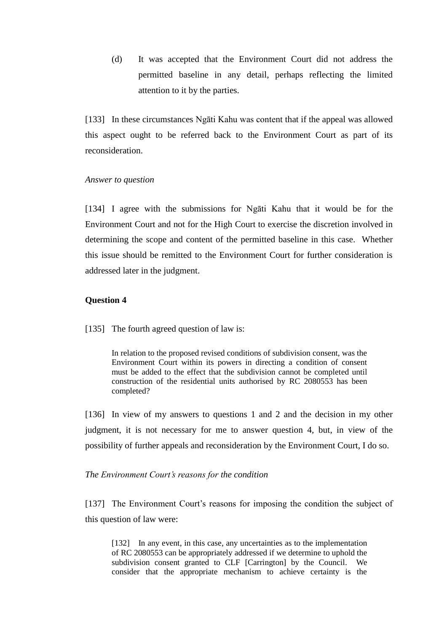(d) It was accepted that the Environment Court did not address the permitted baseline in any detail, perhaps reflecting the limited attention to it by the parties.

[133] In these circumstances Ngāti Kahu was content that if the appeal was allowed this aspect ought to be referred back to the Environment Court as part of its reconsideration.

### *Answer to question*

[134] I agree with the submissions for Ngāti Kahu that it would be for the Environment Court and not for the High Court to exercise the discretion involved in determining the scope and content of the permitted baseline in this case. Whether this issue should be remitted to the Environment Court for further consideration is addressed later in the judgment.

# **Question 4**

[135] The fourth agreed question of law is:

In relation to the proposed revised conditions of subdivision consent, was the Environment Court within its powers in directing a condition of consent must be added to the effect that the subdivision cannot be completed until construction of the residential units authorised by RC 2080553 has been completed?

[136] In view of my answers to questions 1 and 2 and the decision in my other judgment, it is not necessary for me to answer question 4, but, in view of the possibility of further appeals and reconsideration by the Environment Court, I do so.

### *The Environment Court's reasons for the condition*

[137] The Environment Court's reasons for imposing the condition the subject of this question of law were:

[132] In any event, in this case, any uncertainties as to the implementation of RC 2080553 can be appropriately addressed if we determine to uphold the subdivision consent granted to CLF [Carrington] by the Council. We consider that the appropriate mechanism to achieve certainty is the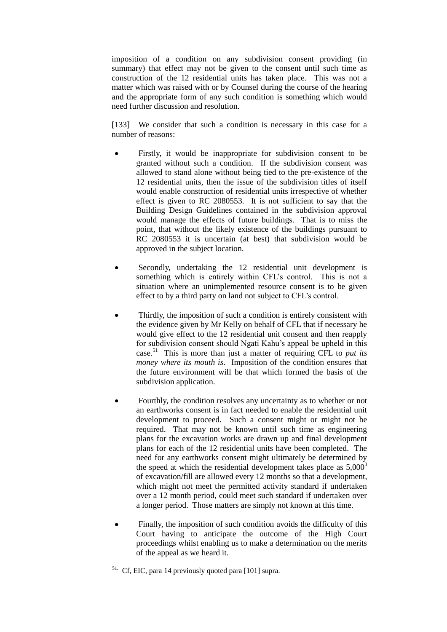imposition of a condition on any subdivision consent providing (in summary) that effect may not be given to the consent until such time as construction of the 12 residential units has taken place. This was not a matter which was raised with or by Counsel during the course of the hearing and the appropriate form of any such condition is something which would need further discussion and resolution.

[133] We consider that such a condition is necessary in this case for a number of reasons:

- Firstly, it would be inappropriate for subdivision consent to be  $\bullet$ granted without such a condition. If the subdivision consent was allowed to stand alone without being tied to the pre-existence of the 12 residential units, then the issue of the subdivision titles of itself would enable construction of residential units irrespective of whether effect is given to RC 2080553. It is not sufficient to say that the Building Design Guidelines contained in the subdivision approval would manage the effects of future buildings. That is to miss the point, that without the likely existence of the buildings pursuant to RC 2080553 it is uncertain (at best) that subdivision would be approved in the subject location.
- Secondly, undertaking the 12 residential unit development is something which is entirely within CFL's control. This is not a situation where an unimplemented resource consent is to be given effect to by a third party on land not subject to CFL's control.
- $\bullet$ Thirdly, the imposition of such a condition is entirely consistent with the evidence given by Mr Kelly on behalf of CFL that if necessary he would give effect to the 12 residential unit consent and then reapply for subdivision consent should Ngati Kahu's appeal be upheld in this case.<sup>51</sup> This is more than just a matter of requiring CFL to *put its money where its mouth is*. Imposition of the condition ensures that the future environment will be that which formed the basis of the subdivision application.
- Fourthly, the condition resolves any uncertainty as to whether or not  $\bullet$ an earthworks consent is in fact needed to enable the residential unit development to proceed. Such a consent might or might not be required. That may not be known until such time as engineering plans for the excavation works are drawn up and final development plans for each of the 12 residential units have been completed. The need for any earthworks consent might ultimately be determined by the speed at which the residential development takes place as  $5,000^3$ of excavation/fill are allowed every 12 months so that a development, which might not meet the permitted activity standard if undertaken over a 12 month period, could meet such standard if undertaken over a longer period. Those matters are simply not known at this time.
- Finally, the imposition of such condition avoids the difficulty of this Court having to anticipate the outcome of the High Court proceedings whilst enabling us to make a determination on the merits of the appeal as we heard it.
- <sup>51.</sup> Cf, EIC, para 14 previously quoted para [101] supra.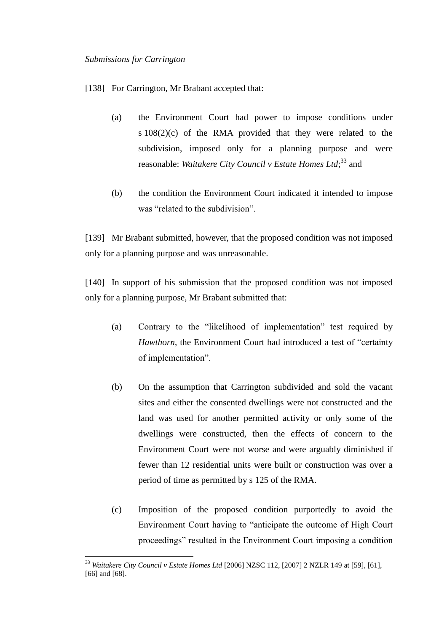$\overline{a}$ 

[138] For Carrington, Mr Brabant accepted that:

- (a) the Environment Court had power to impose conditions under s 108(2)(c) of the RMA provided that they were related to the subdivision, imposed only for a planning purpose and were reasonable: *Waitakere City Council v Estate Homes Ltd*; <sup>33</sup> and
- (b) the condition the Environment Court indicated it intended to impose was "related to the subdivision".

[139] Mr Brabant submitted, however, that the proposed condition was not imposed only for a planning purpose and was unreasonable.

[140] In support of his submission that the proposed condition was not imposed only for a planning purpose, Mr Brabant submitted that:

- (a) Contrary to the "likelihood of implementation" test required by *Hawthorn*, the Environment Court had introduced a test of "certainty" of implementation".
- (b) On the assumption that Carrington subdivided and sold the vacant sites and either the consented dwellings were not constructed and the land was used for another permitted activity or only some of the dwellings were constructed, then the effects of concern to the Environment Court were not worse and were arguably diminished if fewer than 12 residential units were built or construction was over a period of time as permitted by s 125 of the RMA.
- (c) Imposition of the proposed condition purportedly to avoid the Environment Court having to "anticipate the outcome of High Court proceedings‖ resulted in the Environment Court imposing a condition

<sup>33</sup> *Waitakere City Council v Estate Homes Ltd* [2006] NZSC 112, [2007] 2 NZLR 149 at [59], [61], [66] and [68].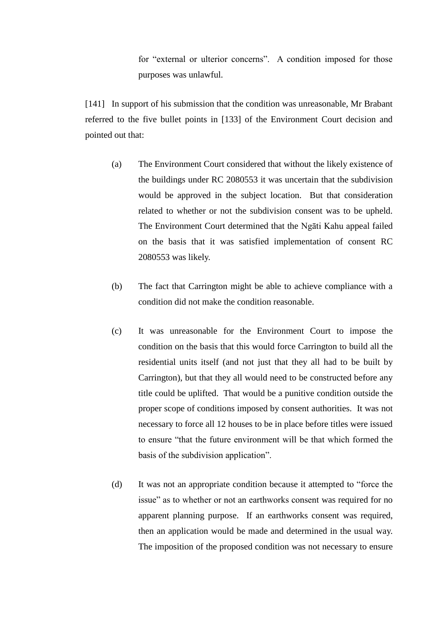for "external or ulterior concerns". A condition imposed for those purposes was unlawful.

[141] In support of his submission that the condition was unreasonable, Mr Brabant referred to the five bullet points in [133] of the Environment Court decision and pointed out that:

- (a) The Environment Court considered that without the likely existence of the buildings under RC 2080553 it was uncertain that the subdivision would be approved in the subject location. But that consideration related to whether or not the subdivision consent was to be upheld. The Environment Court determined that the Ngāti Kahu appeal failed on the basis that it was satisfied implementation of consent RC 2080553 was likely.
- (b) The fact that Carrington might be able to achieve compliance with a condition did not make the condition reasonable.
- (c) It was unreasonable for the Environment Court to impose the condition on the basis that this would force Carrington to build all the residential units itself (and not just that they all had to be built by Carrington), but that they all would need to be constructed before any title could be uplifted. That would be a punitive condition outside the proper scope of conditions imposed by consent authorities. It was not necessary to force all 12 houses to be in place before titles were issued to ensure "that the future environment will be that which formed the basis of the subdivision application".
- (d) It was not an appropriate condition because it attempted to "force the issue" as to whether or not an earthworks consent was required for no apparent planning purpose. If an earthworks consent was required, then an application would be made and determined in the usual way. The imposition of the proposed condition was not necessary to ensure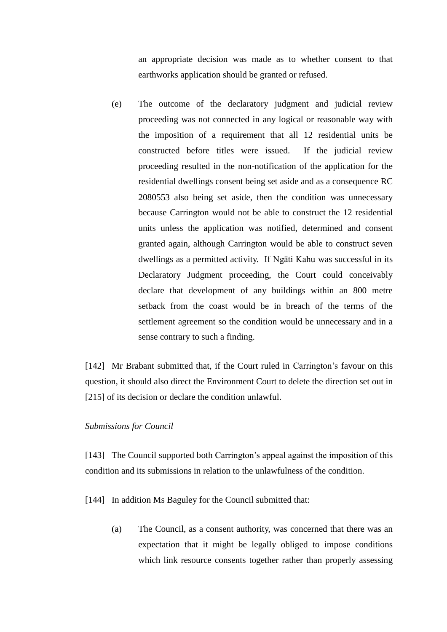an appropriate decision was made as to whether consent to that earthworks application should be granted or refused.

(e) The outcome of the declaratory judgment and judicial review proceeding was not connected in any logical or reasonable way with the imposition of a requirement that all 12 residential units be constructed before titles were issued. If the judicial review proceeding resulted in the non-notification of the application for the residential dwellings consent being set aside and as a consequence RC 2080553 also being set aside, then the condition was unnecessary because Carrington would not be able to construct the 12 residential units unless the application was notified, determined and consent granted again, although Carrington would be able to construct seven dwellings as a permitted activity. If Ngāti Kahu was successful in its Declaratory Judgment proceeding, the Court could conceivably declare that development of any buildings within an 800 metre setback from the coast would be in breach of the terms of the settlement agreement so the condition would be unnecessary and in a sense contrary to such a finding.

[142] Mr Brabant submitted that, if the Court ruled in Carrington's favour on this question, it should also direct the Environment Court to delete the direction set out in [215] of its decision or declare the condition unlawful.

# *Submissions for Council*

[143] The Council supported both Carrington's appeal against the imposition of this condition and its submissions in relation to the unlawfulness of the condition.

[144] In addition Ms Baguley for the Council submitted that:

(a) The Council, as a consent authority, was concerned that there was an expectation that it might be legally obliged to impose conditions which link resource consents together rather than properly assessing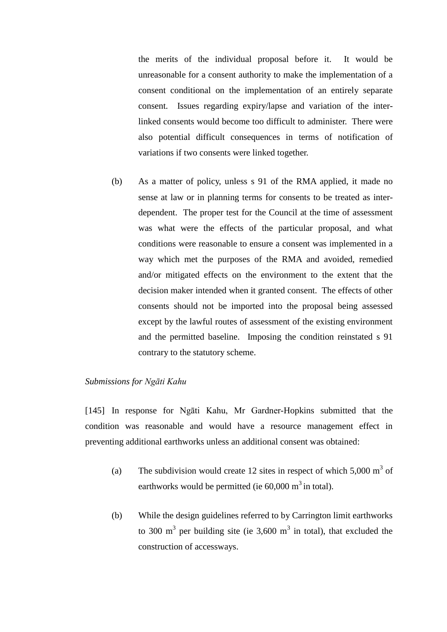the merits of the individual proposal before it. It would be unreasonable for a consent authority to make the implementation of a consent conditional on the implementation of an entirely separate consent. Issues regarding expiry/lapse and variation of the interlinked consents would become too difficult to administer. There were also potential difficult consequences in terms of notification of variations if two consents were linked together.

(b) As a matter of policy, unless s 91 of the RMA applied, it made no sense at law or in planning terms for consents to be treated as interdependent. The proper test for the Council at the time of assessment was what were the effects of the particular proposal, and what conditions were reasonable to ensure a consent was implemented in a way which met the purposes of the RMA and avoided, remedied and/or mitigated effects on the environment to the extent that the decision maker intended when it granted consent. The effects of other consents should not be imported into the proposal being assessed except by the lawful routes of assessment of the existing environment and the permitted baseline. Imposing the condition reinstated s 91 contrary to the statutory scheme.

### *Submissions for Ngāti Kahu*

[145] In response for Ngāti Kahu, Mr Gardner-Hopkins submitted that the condition was reasonable and would have a resource management effect in preventing additional earthworks unless an additional consent was obtained:

- (a) The subdivision would create 12 sites in respect of which  $5,000 \text{ m}^3$  of earthworks would be permitted (ie  $60,000 \text{ m}^3$  in total).
- (b) While the design guidelines referred to by Carrington limit earthworks to 300 m<sup>3</sup> per building site (ie 3,600 m<sup>3</sup> in total), that excluded the construction of accessways.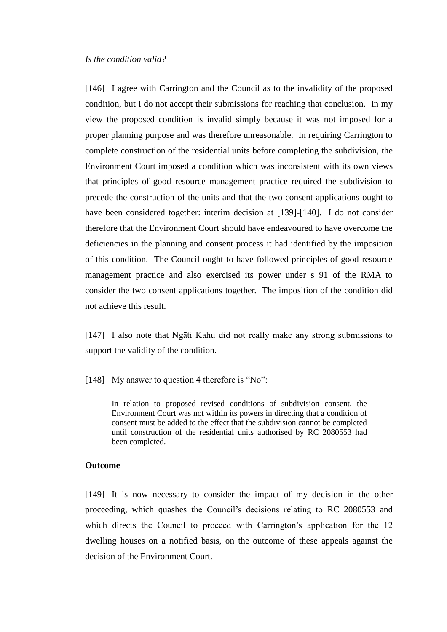### *Is the condition valid?*

[146] I agree with Carrington and the Council as to the invalidity of the proposed condition, but I do not accept their submissions for reaching that conclusion. In my view the proposed condition is invalid simply because it was not imposed for a proper planning purpose and was therefore unreasonable. In requiring Carrington to complete construction of the residential units before completing the subdivision, the Environment Court imposed a condition which was inconsistent with its own views that principles of good resource management practice required the subdivision to precede the construction of the units and that the two consent applications ought to have been considered together: interim decision at [139]-[140]. I do not consider therefore that the Environment Court should have endeavoured to have overcome the deficiencies in the planning and consent process it had identified by the imposition of this condition. The Council ought to have followed principles of good resource management practice and also exercised its power under s 91 of the RMA to consider the two consent applications together. The imposition of the condition did not achieve this result.

[147] I also note that Ngāti Kahu did not really make any strong submissions to support the validity of the condition.

[148] My answer to question 4 therefore is "No":

In relation to proposed revised conditions of subdivision consent, the Environment Court was not within its powers in directing that a condition of consent must be added to the effect that the subdivision cannot be completed until construction of the residential units authorised by RC 2080553 had been completed.

### **Outcome**

[149] It is now necessary to consider the impact of my decision in the other proceeding, which quashes the Council's decisions relating to RC 2080553 and which directs the Council to proceed with Carrington's application for the 12 dwelling houses on a notified basis, on the outcome of these appeals against the decision of the Environment Court.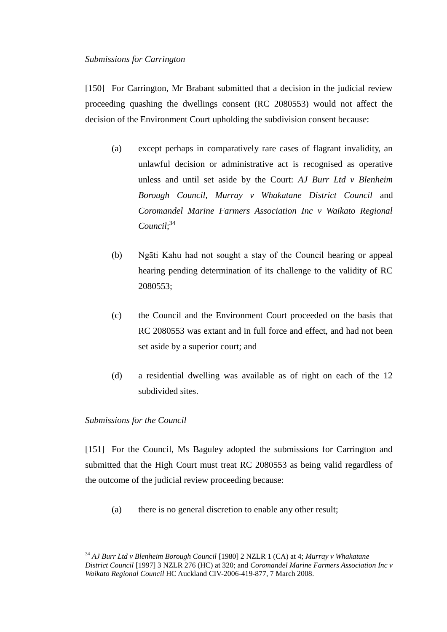# *Submissions for Carrington*

[150] For Carrington, Mr Brabant submitted that a decision in the judicial review proceeding quashing the dwellings consent (RC 2080553) would not affect the decision of the Environment Court upholding the subdivision consent because:

- (a) except perhaps in comparatively rare cases of flagrant invalidity, an unlawful decision or administrative act is recognised as operative unless and until set aside by the Court: *AJ Burr Ltd v Blenheim Borough Council, Murray v Whakatane District Council* and *Coromandel Marine Farmers Association Inc v Waikato Regional Council*; 34
- (b) Ngāti Kahu had not sought a stay of the Council hearing or appeal hearing pending determination of its challenge to the validity of RC 2080553;
- (c) the Council and the Environment Court proceeded on the basis that RC 2080553 was extant and in full force and effect, and had not been set aside by a superior court; and
- (d) a residential dwelling was available as of right on each of the 12 subdivided sites.

# *Submissions for the Council*

[151] For the Council, Ms Baguley adopted the submissions for Carrington and submitted that the High Court must treat RC 2080553 as being valid regardless of the outcome of the judicial review proceeding because:

(a) there is no general discretion to enable any other result;

 $\overline{a}$ <sup>34</sup> *AJ Burr Ltd v Blenheim Borough Council* [1980] 2 NZLR 1 (CA) at 4; *Murray v Whakatane District Council* [1997] 3 NZLR 276 (HC) at 320; and *Coromandel Marine Farmers Association Inc v Waikato Regional Council* HC Auckland CIV-2006-419-877, 7 March 2008.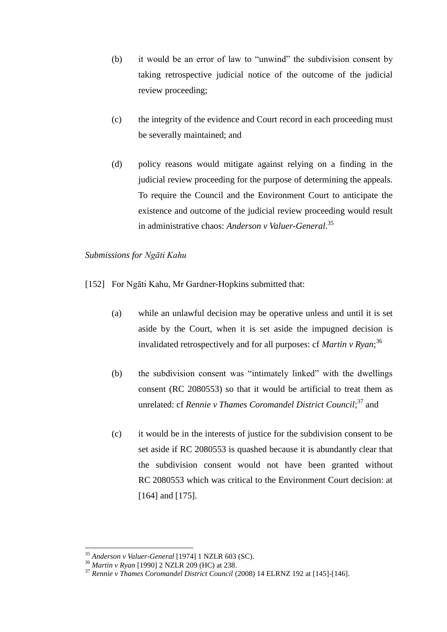- $(b)$  it would be an error of law to "unwind" the subdivision consent by taking retrospective judicial notice of the outcome of the judicial review proceeding;
- (c) the integrity of the evidence and Court record in each proceeding must be severally maintained; and
- (d) policy reasons would mitigate against relying on a finding in the judicial review proceeding for the purpose of determining the appeals. To require the Council and the Environment Court to anticipate the existence and outcome of the judicial review proceeding would result in administrative chaos: *Anderson v Valuer-General*. 35

# *Submissions for Ngāti Kahu*

- [152] For Ngāti Kahu, Mr Gardner-Hopkins submitted that:
	- (a) while an unlawful decision may be operative unless and until it is set aside by the Court, when it is set aside the impugned decision is invalidated retrospectively and for all purposes: cf *Martin v Ryan*; 36
	- $(b)$  the subdivision consent was "intimately linked" with the dwellings consent (RC 2080553) so that it would be artificial to treat them as unrelated: cf *Rennie v Thames Coromandel District Council*;<sup>37</sup> and
	- (c) it would be in the interests of justice for the subdivision consent to be set aside if RC 2080553 is quashed because it is abundantly clear that the subdivision consent would not have been granted without RC 2080553 which was critical to the Environment Court decision: at [164] and [175].

<sup>35</sup> *Anderson v Valuer-General* [1974] 1 NZLR 603 (SC).

<sup>36</sup> *Martin v Ryan* [1990] 2 NZLR 209 (HC) at 238.

<sup>37</sup> *Rennie v Thames Coromandel District Council* (2008) 14 ELRNZ 192 at [145]-[146].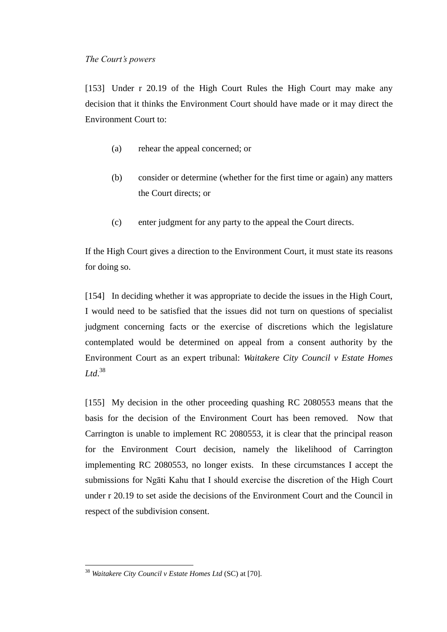[153] Under r 20.19 of the High Court Rules the High Court may make any decision that it thinks the Environment Court should have made or it may direct the Environment Court to:

- (a) rehear the appeal concerned; or
- (b) consider or determine (whether for the first time or again) any matters the Court directs; or
- (c) enter judgment for any party to the appeal the Court directs.

If the High Court gives a direction to the Environment Court, it must state its reasons for doing so.

[154] In deciding whether it was appropriate to decide the issues in the High Court, I would need to be satisfied that the issues did not turn on questions of specialist judgment concerning facts or the exercise of discretions which the legislature contemplated would be determined on appeal from a consent authority by the Environment Court as an expert tribunal: *Waitakere City Council v Estate Homes Ltd*. 38

[155] My decision in the other proceeding quashing RC 2080553 means that the basis for the decision of the Environment Court has been removed. Now that Carrington is unable to implement RC 2080553, it is clear that the principal reason for the Environment Court decision, namely the likelihood of Carrington implementing RC 2080553, no longer exists. In these circumstances I accept the submissions for Ngāti Kahu that I should exercise the discretion of the High Court under r 20.19 to set aside the decisions of the Environment Court and the Council in respect of the subdivision consent.

<sup>38</sup> *Waitakere City Council v Estate Homes Ltd* (SC) at [70].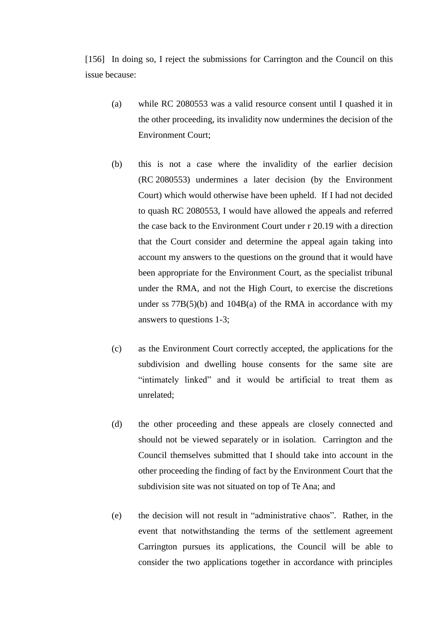[156] In doing so, I reject the submissions for Carrington and the Council on this issue because:

- (a) while RC 2080553 was a valid resource consent until I quashed it in the other proceeding, its invalidity now undermines the decision of the Environment Court;
- (b) this is not a case where the invalidity of the earlier decision (RC 2080553) undermines a later decision (by the Environment Court) which would otherwise have been upheld. If I had not decided to quash RC 2080553, I would have allowed the appeals and referred the case back to the Environment Court under r 20.19 with a direction that the Court consider and determine the appeal again taking into account my answers to the questions on the ground that it would have been appropriate for the Environment Court, as the specialist tribunal under the RMA, and not the High Court, to exercise the discretions under ss  $77B(5)(b)$  and  $104B(a)$  of the RMA in accordance with my answers to questions 1-3;
- (c) as the Environment Court correctly accepted, the applications for the subdivision and dwelling house consents for the same site are "intimately linked" and it would be artificial to treat them as unrelated;
- (d) the other proceeding and these appeals are closely connected and should not be viewed separately or in isolation. Carrington and the Council themselves submitted that I should take into account in the other proceeding the finding of fact by the Environment Court that the subdivision site was not situated on top of Te Ana; and
- (e) the decision will not result in "administrative chaos". Rather, in the event that notwithstanding the terms of the settlement agreement Carrington pursues its applications, the Council will be able to consider the two applications together in accordance with principles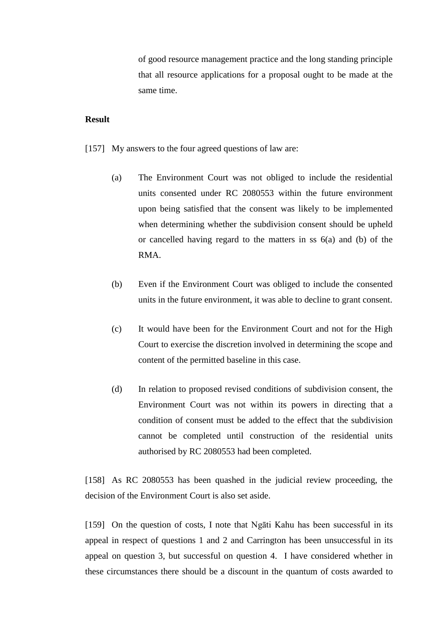of good resource management practice and the long standing principle that all resource applications for a proposal ought to be made at the same time.

# **Result**

- [157] My answers to the four agreed questions of law are:
	- (a) The Environment Court was not obliged to include the residential units consented under RC 2080553 within the future environment upon being satisfied that the consent was likely to be implemented when determining whether the subdivision consent should be upheld or cancelled having regard to the matters in ss 6(a) and (b) of the RMA.
	- (b) Even if the Environment Court was obliged to include the consented units in the future environment, it was able to decline to grant consent.
	- (c) It would have been for the Environment Court and not for the High Court to exercise the discretion involved in determining the scope and content of the permitted baseline in this case.
	- (d) In relation to proposed revised conditions of subdivision consent, the Environment Court was not within its powers in directing that a condition of consent must be added to the effect that the subdivision cannot be completed until construction of the residential units authorised by RC 2080553 had been completed.

[158] As RC 2080553 has been quashed in the judicial review proceeding, the decision of the Environment Court is also set aside.

[159] On the question of costs, I note that Ngāti Kahu has been successful in its appeal in respect of questions 1 and 2 and Carrington has been unsuccessful in its appeal on question 3, but successful on question 4. I have considered whether in these circumstances there should be a discount in the quantum of costs awarded to